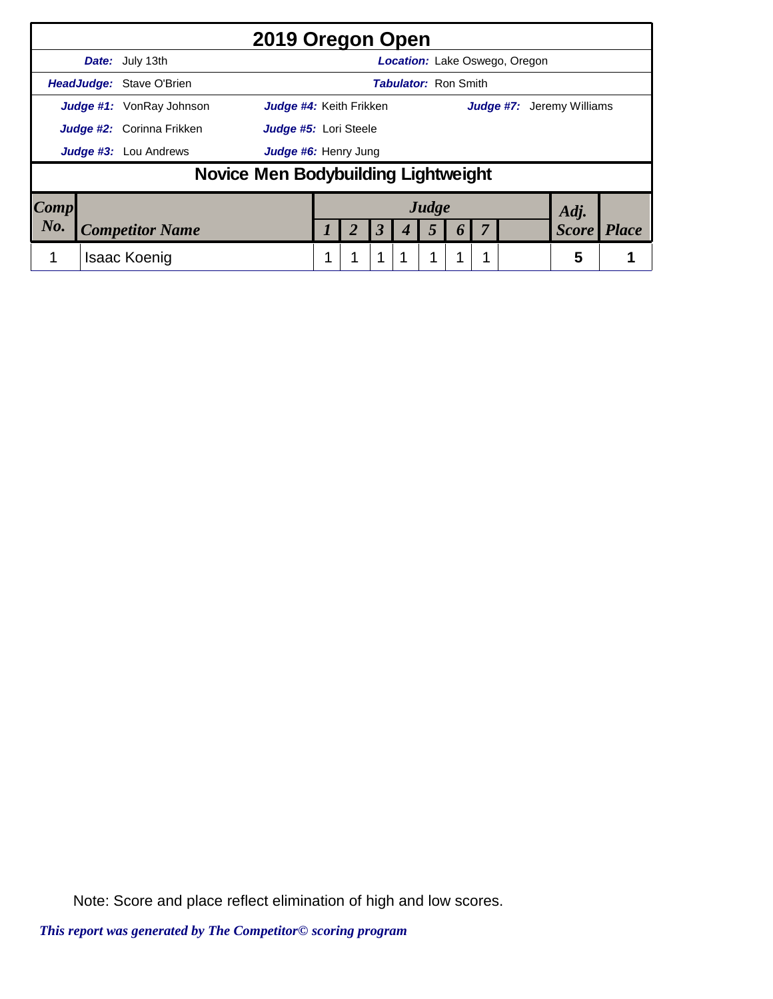|      |                                                                                                |                                     | 2019 Oregon Open     |  |  |                      |  |                             |                  |  |                                      |              |              |
|------|------------------------------------------------------------------------------------------------|-------------------------------------|----------------------|--|--|----------------------|--|-----------------------------|------------------|--|--------------------------------------|--------------|--------------|
|      |                                                                                                | <b>Date:</b> July 13th              |                      |  |  |                      |  |                             |                  |  | <b>Location:</b> Lake Oswego, Oregon |              |              |
|      |                                                                                                | HeadJudge: Stave O'Brien            |                      |  |  |                      |  | <b>Tabulator: Ron Smith</b> |                  |  |                                      |              |              |
|      | <b>Judge #1:</b> VonRay Johnson<br>Judge #4: Keith Frikken<br><b>Judge #7:</b> Jeremy Williams |                                     |                      |  |  |                      |  |                             |                  |  |                                      |              |              |
|      | <b>Judge #2:</b> Corinna Frikken<br>Judge #5: Lori Steele                                      |                                     |                      |  |  |                      |  |                             |                  |  |                                      |              |              |
|      |                                                                                                | <b>Judge #3:</b> Lou Andrews        | Judge #6: Henry Jung |  |  |                      |  |                             |                  |  |                                      |              |              |
|      |                                                                                                | Novice Men Bodybuilding Lightweight |                      |  |  |                      |  |                             |                  |  |                                      |              |              |
| Comp |                                                                                                |                                     |                      |  |  |                      |  | Judge                       |                  |  |                                      | Adj.         |              |
| No.  |                                                                                                | <b>Competitor Name</b>              |                      |  |  | $\boldsymbol{\beta}$ |  | 5                           | $\boldsymbol{0}$ |  |                                      | <b>Score</b> | <b>Place</b> |
|      |                                                                                                | <b>Isaac Koenig</b>                 |                      |  |  | 1                    |  | 1                           |                  |  |                                      | 5            |              |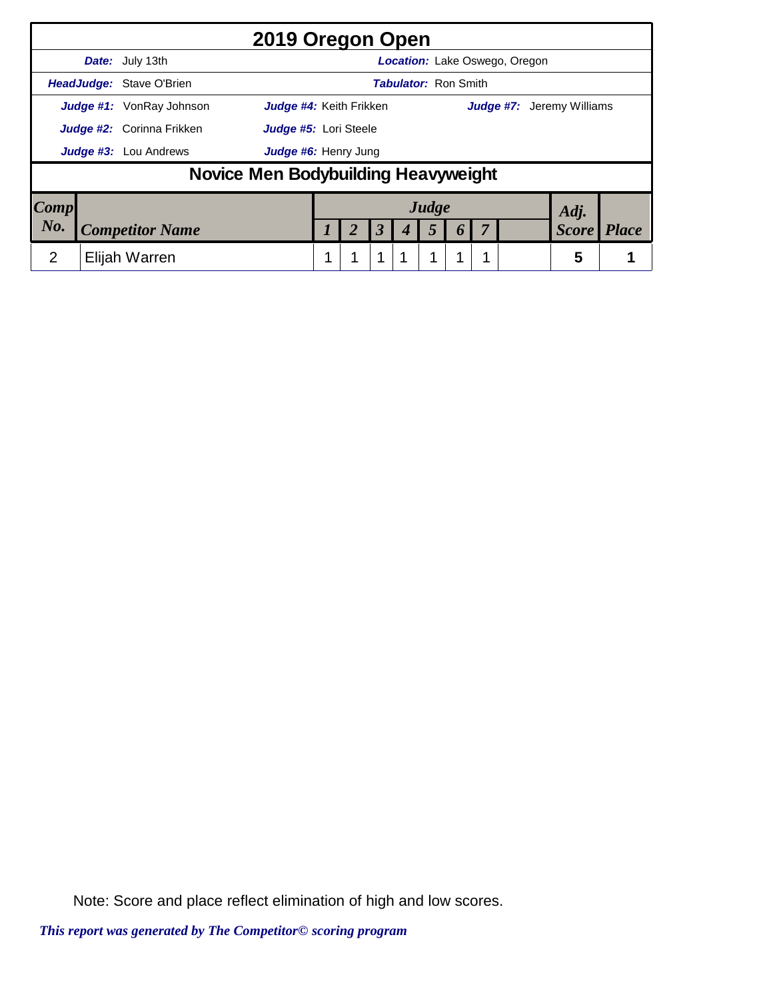|                        |                                                                                                | 2019 Oregon Open                              |  |  |  |                      |  |                             |  |  |                                      |              |              |
|------------------------|------------------------------------------------------------------------------------------------|-----------------------------------------------|--|--|--|----------------------|--|-----------------------------|--|--|--------------------------------------|--------------|--------------|
|                        |                                                                                                | Date: July 13th                               |  |  |  |                      |  |                             |  |  | <b>Location:</b> Lake Oswego, Oregon |              |              |
|                        |                                                                                                | <b>HeadJudge: Stave O'Brien</b>               |  |  |  |                      |  | <b>Tabulator: Ron Smith</b> |  |  |                                      |              |              |
|                        | Judge #4: Keith Frikken<br><b>Judge #1:</b> VonRay Johnson<br><b>Judge #7:</b> Jeremy Williams |                                               |  |  |  |                      |  |                             |  |  |                                      |              |              |
|                        | <b>Judge #2:</b> Corinna Frikken<br>Judge #5: Lori Steele                                      |                                               |  |  |  |                      |  |                             |  |  |                                      |              |              |
|                        |                                                                                                | Judge #3: Lou Andrews<br>Judge #6: Henry Jung |  |  |  |                      |  |                             |  |  |                                      |              |              |
|                        |                                                                                                | Novice Men Bodybuilding Heavyweight           |  |  |  |                      |  |                             |  |  |                                      |              |              |
| $\lfloor Comp \rfloor$ |                                                                                                |                                               |  |  |  |                      |  | Judge                       |  |  |                                      | Adj.         |              |
| No.                    |                                                                                                | <b>Competitor Name</b>                        |  |  |  | $\boldsymbol{\beta}$ |  | 5                           |  |  |                                      | <b>Score</b> | <b>Place</b> |
| 2                      |                                                                                                | Elijah Warren                                 |  |  |  | 1                    |  | 1                           |  |  |                                      | 5            |              |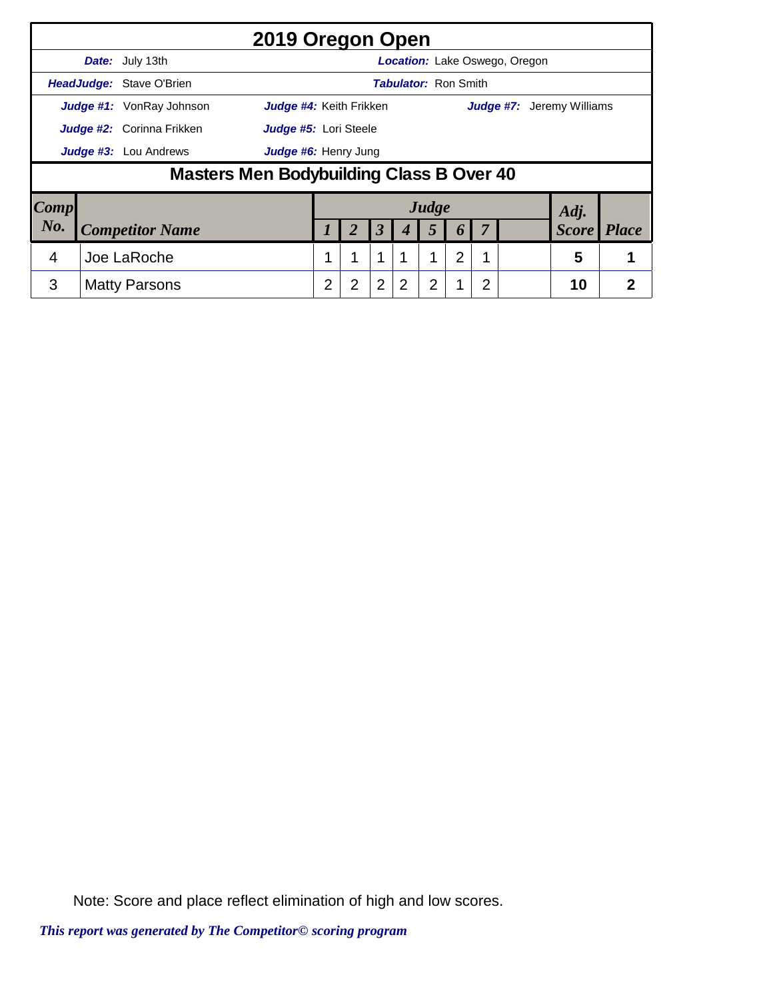|      |                                  | 2019 Oregon Open                         |   |   |                      |                             |                |   |   |                               |                                  |              |
|------|----------------------------------|------------------------------------------|---|---|----------------------|-----------------------------|----------------|---|---|-------------------------------|----------------------------------|--------------|
|      | Date: July 13th                  |                                          |   |   |                      |                             |                |   |   | Location: Lake Oswego, Oregon |                                  |              |
|      | HeadJudge: Stave O'Brien         |                                          |   |   |                      | <b>Tabulator: Ron Smith</b> |                |   |   |                               |                                  |              |
|      | <b>Judge #1:</b> VonRay Johnson  | Judge #4: Keith Frikken                  |   |   |                      |                             |                |   |   |                               | <b>Judge #7:</b> Jeremy Williams |              |
|      | <b>Judge #2:</b> Corinna Frikken | Judge #5: Lori Steele                    |   |   |                      |                             |                |   |   |                               |                                  |              |
|      | Judge #3: Lou Andrews            | Judge #6: Henry Jung                     |   |   |                      |                             |                |   |   |                               |                                  |              |
|      |                                  | Masters Men Bodybuilding Class B Over 40 |   |   |                      |                             |                |   |   |                               |                                  |              |
| Comp |                                  |                                          |   |   |                      |                             | Judge          |   |   |                               | Adj.                             |              |
| No.  | <b>Competitor Name</b>           |                                          |   | 2 | $\boldsymbol{\beta}$ | 4                           | 5              | 6 |   |                               | <b>Score</b>                     | <b>Place</b> |
| 4    | Joe LaRoche                      |                                          |   | 1 | 1                    |                             | 1              | 2 |   |                               | 5                                |              |
| 3    | <b>Matty Parsons</b>             |                                          | 2 | 2 | $\overline{2}$       | 2                           | $\overline{2}$ | 1 | 2 |                               | 10                               | 2            |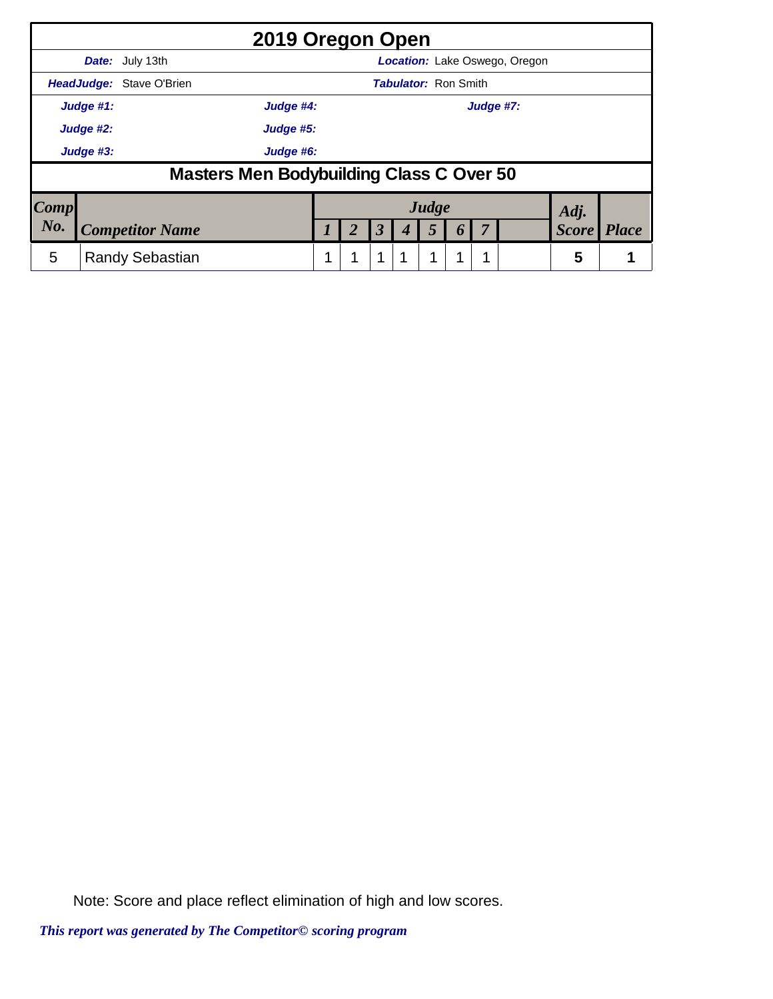|      |           | 2019 Oregon Open                         |                        |  |                      |   |                             |                  |  |                                      |              |              |
|------|-----------|------------------------------------------|------------------------|--|----------------------|---|-----------------------------|------------------|--|--------------------------------------|--------------|--------------|
|      |           | <b>Date:</b> July 13th                   |                        |  |                      |   |                             |                  |  | <b>Location:</b> Lake Oswego, Oregon |              |              |
|      |           | <b>HeadJudge:</b> Stave O'Brien          |                        |  |                      |   | <b>Tabulator: Ron Smith</b> |                  |  |                                      |              |              |
|      | Judge #1: |                                          | Judge #4:<br>Judge #7: |  |                      |   |                             |                  |  |                                      |              |              |
|      | Judge #2: |                                          | Judge #5:              |  |                      |   |                             |                  |  |                                      |              |              |
|      | Judge #3: | Judge #6:                                |                        |  |                      |   |                             |                  |  |                                      |              |              |
|      |           | Masters Men Bodybuilding Class C Over 50 |                        |  |                      |   |                             |                  |  |                                      |              |              |
| Comp |           |                                          |                        |  |                      |   | Judge                       |                  |  |                                      | Adj.         |              |
| No.  |           | <b>Competitor Name</b>                   |                        |  | $\boldsymbol{\beta}$ |   | 5                           | $\boldsymbol{0}$ |  |                                      | <b>Score</b> | <b>Place</b> |
| 5    |           | <b>Randy Sebastian</b>                   |                        |  | 1                    | 1 | 4                           |                  |  |                                      | 5            |              |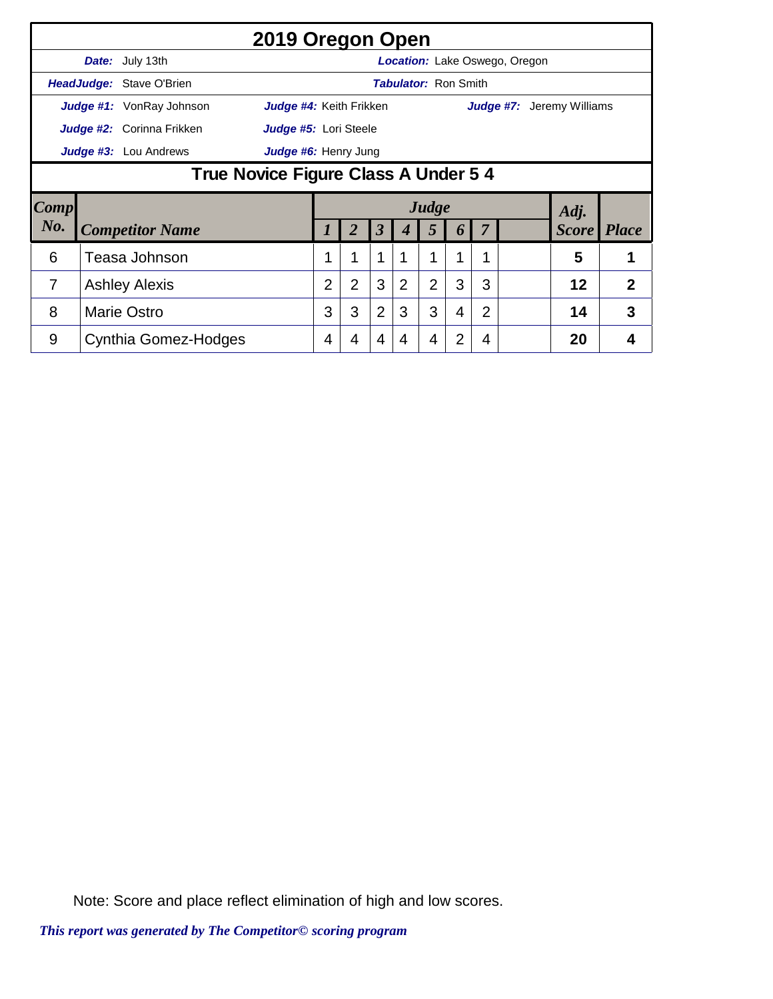|                |                                               | 2019 Oregon Open          |                         |                |                |                             |                |   |                |                                      |                                  |                |  |  |
|----------------|-----------------------------------------------|---------------------------|-------------------------|----------------|----------------|-----------------------------|----------------|---|----------------|--------------------------------------|----------------------------------|----------------|--|--|
|                |                                               | <b>Date:</b> July 13th    |                         |                |                |                             |                |   |                | <b>Location:</b> Lake Oswego, Oregon |                                  |                |  |  |
|                |                                               | HeadJudge: Stave O'Brien  |                         |                |                | <b>Tabulator: Ron Smith</b> |                |   |                |                                      |                                  |                |  |  |
|                |                                               | Judge #1: VonRay Johnson  | Judge #4: Keith Frikken |                |                |                             |                |   |                |                                      | <b>Judge #7:</b> Jeremy Williams |                |  |  |
|                |                                               | Judge #2: Corinna Frikken | Judge #5: Lori Steele   |                |                |                             |                |   |                |                                      |                                  |                |  |  |
|                | Judge #3: Lou Andrews<br>Judge #6: Henry Jung |                           |                         |                |                |                             |                |   |                |                                      |                                  |                |  |  |
|                | True Novice Figure Class A Under 5 4          |                           |                         |                |                |                             |                |   |                |                                      |                                  |                |  |  |
| Comp           |                                               |                           |                         |                |                |                             | Judge          |   |                |                                      | Adj.                             |                |  |  |
| $N0$ .         |                                               | <b>Competitor Name</b>    |                         | 2              | 3              | 4                           | 5              | 6 |                |                                      | <b>Score</b>                     | <i>Place</i>   |  |  |
| 6              |                                               | Teasa Johnson             |                         | 1              | 1              |                             |                | 1 | 1              |                                      | 5                                | 1              |  |  |
| $\overline{7}$ |                                               | <b>Ashley Alexis</b>      | $\overline{2}$          | $\overline{2}$ | 3              | 2                           | $\overline{2}$ | 3 | 3              |                                      | 12                               | $\overline{2}$ |  |  |
| 8              |                                               | <b>Marie Ostro</b>        | 3                       | 3              | $\overline{2}$ | 3                           | 3              | 4 | $\overline{2}$ |                                      | 14                               | 3              |  |  |
| 9              |                                               | Cynthia Gomez-Hodges      | 4                       | 4              | 4              | 4                           | 4              | 2 | 4              |                                      | 20                               | 4              |  |  |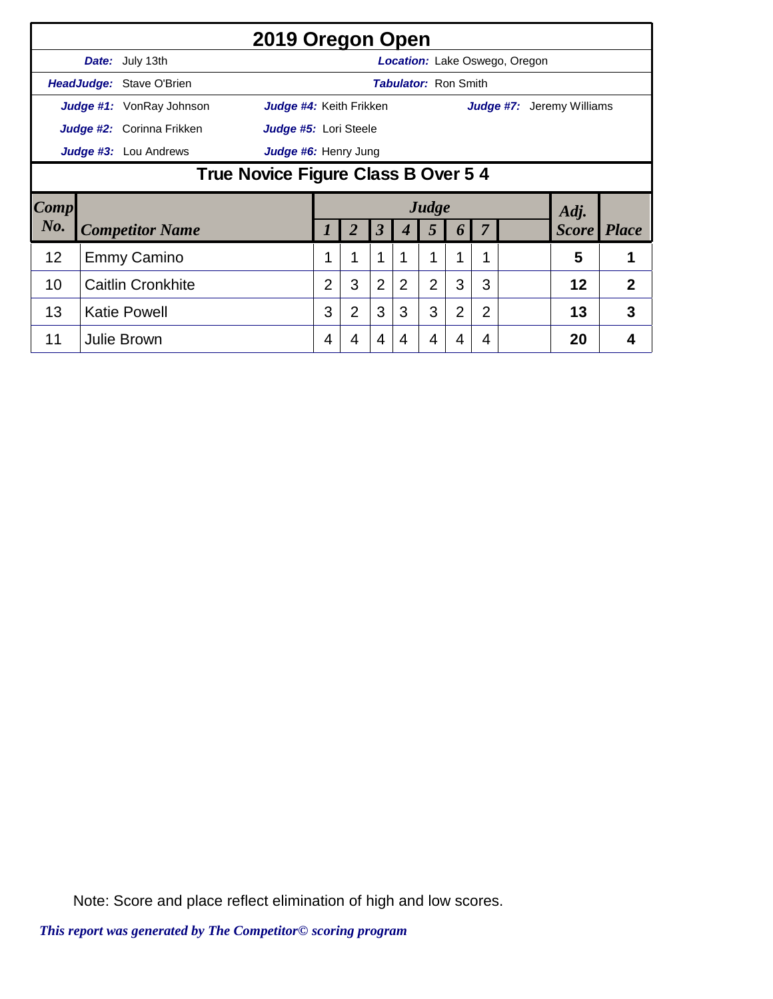|             |                                                              | 2019 Oregon Open                |                         |                |                      |   |                |                             |                |                                      |                                  |                |  |
|-------------|--------------------------------------------------------------|---------------------------------|-------------------------|----------------|----------------------|---|----------------|-----------------------------|----------------|--------------------------------------|----------------------------------|----------------|--|
|             |                                                              | <b>Date:</b> July 13th          |                         |                |                      |   |                |                             |                | <b>Location:</b> Lake Oswego, Oregon |                                  |                |  |
|             |                                                              | HeadJudge: Stave O'Brien        |                         |                |                      |   |                | <b>Tabulator: Ron Smith</b> |                |                                      |                                  |                |  |
|             |                                                              | <b>Judge #1:</b> VonRay Johnson | Judge #4: Keith Frikken |                |                      |   |                |                             |                |                                      | <b>Judge #7:</b> Jeremy Williams |                |  |
|             |                                                              | Judge #2: Corinna Frikken       | Judge #5: Lori Steele   |                |                      |   |                |                             |                |                                      |                                  |                |  |
|             |                                                              |                                 | Judge #6: Henry Jung    |                |                      |   |                |                             |                |                                      |                                  |                |  |
|             | Judge #3: Lou Andrews<br>True Novice Figure Class B Over 5 4 |                                 |                         |                |                      |   |                |                             |                |                                      |                                  |                |  |
| <b>Comp</b> |                                                              |                                 |                         |                |                      |   | Judge          |                             |                |                                      |                                  |                |  |
| No.         |                                                              |                                 |                         |                |                      |   |                |                             |                |                                      |                                  |                |  |
|             |                                                              | <b>Competitor Name</b>          | 1                       | $\overline{2}$ | $\boldsymbol{\beta}$ | 4 | 5              | 6                           |                |                                      | Adj.<br><b>Score</b>             | <i>Place</i>   |  |
| 12          |                                                              | <b>Emmy Camino</b>              |                         | 1              | 1                    |   | 1              | 1                           |                |                                      | 5                                |                |  |
| 10          |                                                              | <b>Caitlin Cronkhite</b>        | $\overline{2}$          | 3              | $\overline{2}$       | 2 | $\overline{2}$ | 3                           | 3              |                                      | 12                               | $\overline{2}$ |  |
| 13          |                                                              | <b>Katie Powell</b>             | 3                       | $\overline{2}$ | 3                    | 3 | 3              | $\overline{2}$              | $\overline{2}$ |                                      | 13                               | 3              |  |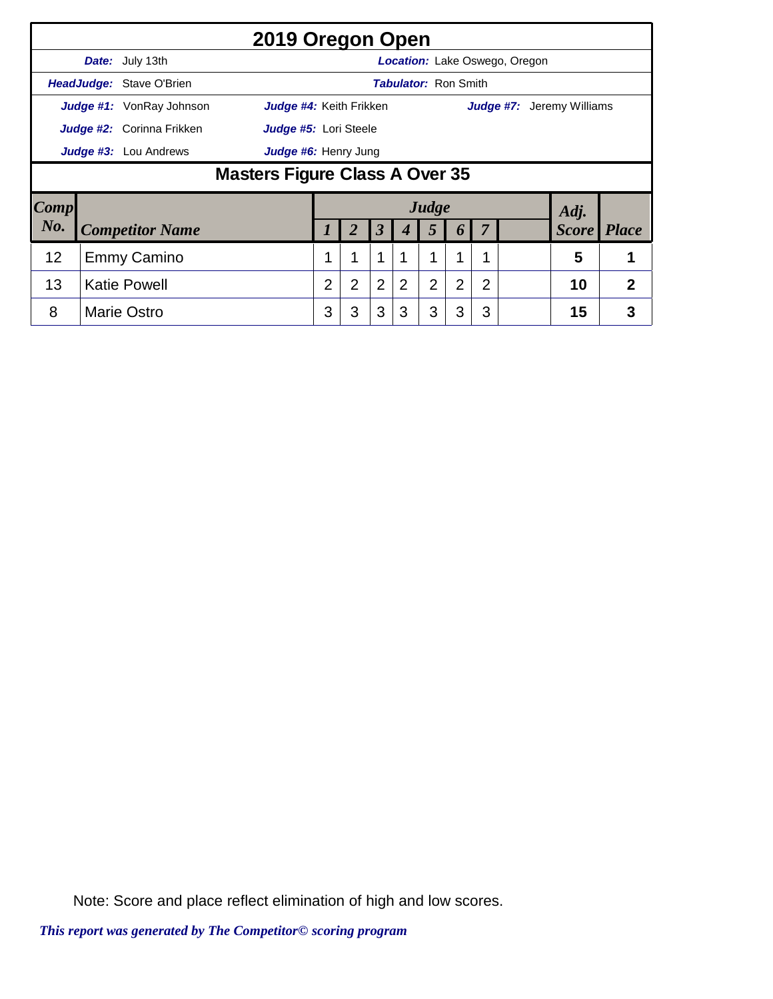|      |                                                      |                                 | 2019 Oregon Open               |                |   |                      |                             |                |   |   |                               |                                  |              |
|------|------------------------------------------------------|---------------------------------|--------------------------------|----------------|---|----------------------|-----------------------------|----------------|---|---|-------------------------------|----------------------------------|--------------|
|      |                                                      | Date: July 13th                 |                                |                |   |                      |                             |                |   |   | Location: Lake Oswego, Oregon |                                  |              |
|      |                                                      | HeadJudge: Stave O'Brien        |                                |                |   |                      | <b>Tabulator: Ron Smith</b> |                |   |   |                               |                                  |              |
|      |                                                      | <b>Judge #1:</b> VonRay Johnson | Judge #4: Keith Frikken        |                |   |                      |                             |                |   |   |                               | <b>Judge #7:</b> Jeremy Williams |              |
|      | Judge #2: Corinna Frikken<br>Judge #5: Lori Steele   |                                 |                                |                |   |                      |                             |                |   |   |                               |                                  |              |
|      | <b>Judge #3:</b> Lou Andrews<br>Judge #6: Henry Jung |                                 |                                |                |   |                      |                             |                |   |   |                               |                                  |              |
|      |                                                      |                                 | Masters Figure Class A Over 35 |                |   |                      |                             |                |   |   |                               |                                  |              |
| Comp |                                                      |                                 |                                |                |   |                      |                             | Judge          |   |   |                               | Adj.                             |              |
| No.  |                                                      | <b>Competitor Name</b>          |                                |                | 2 | $\boldsymbol{\beta}$ | 4                           | 5              | 6 |   |                               | <b>Score</b>                     | <i>Place</i> |
| 12   |                                                      | <b>Emmy Camino</b>              |                                |                | 1 | 1                    |                             |                | и |   |                               | 5                                |              |
| 13   |                                                      | <b>Katie Powell</b>             |                                | $\overline{2}$ | 2 | 2                    | 2                           | $\overline{2}$ | 2 | 2 |                               | 10                               | 2            |
| 8    |                                                      | <b>Marie Ostro</b>              |                                | 3              | 3 | 3                    | 3                           | 3              | 3 | 3 |                               | 15                               | 3            |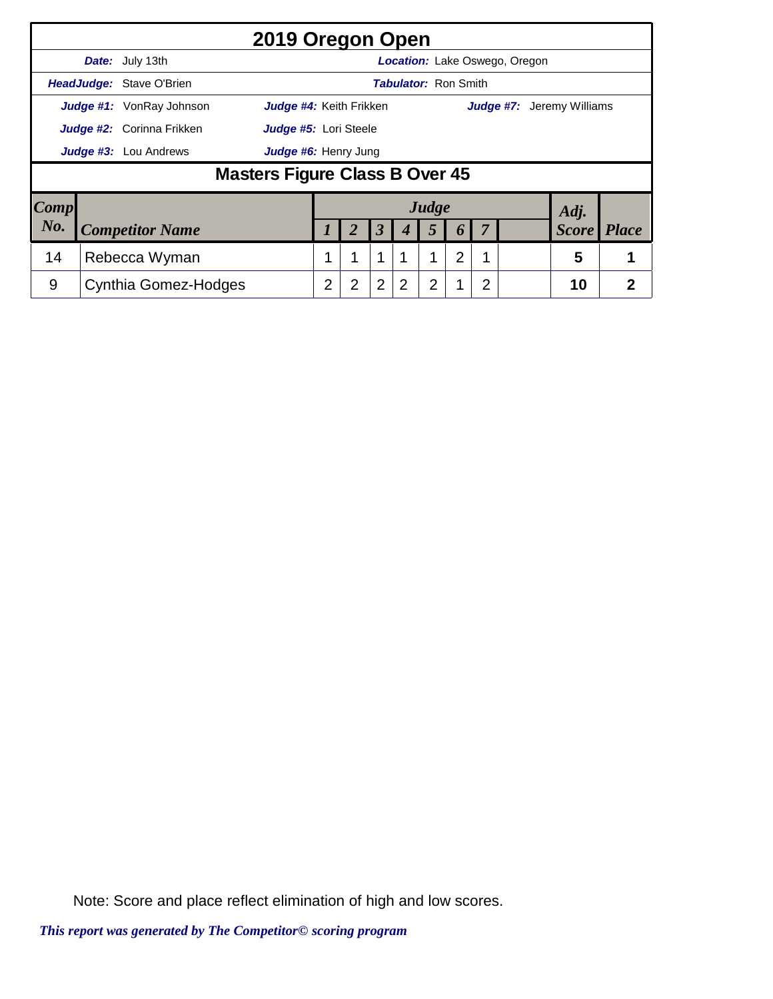|                     |                                  | 2019 Oregon Open               |   |                |                |                             |                |                       |                |                               |                                  |              |
|---------------------|----------------------------------|--------------------------------|---|----------------|----------------|-----------------------------|----------------|-----------------------|----------------|-------------------------------|----------------------------------|--------------|
|                     | Date: July 13th                  |                                |   |                |                |                             |                |                       |                | Location: Lake Oswego, Oregon |                                  |              |
|                     | HeadJudge: Stave O'Brien         |                                |   |                |                | <b>Tabulator: Ron Smith</b> |                |                       |                |                               |                                  |              |
|                     | <b>Judge #1:</b> VonRay Johnson  | Judge #4: Keith Frikken        |   |                |                |                             |                |                       |                |                               | <b>Judge #7:</b> Jeremy Williams |              |
|                     | <b>Judge #2:</b> Corinna Frikken | Judge #5: Lori Steele          |   |                |                |                             |                |                       |                |                               |                                  |              |
|                     | <b>Judge #3:</b> Lou Andrews     | Judge #6: Henry Jung           |   |                |                |                             |                |                       |                |                               |                                  |              |
|                     |                                  | Masters Figure Class B Over 45 |   |                |                |                             |                |                       |                |                               |                                  |              |
| $\boldsymbol{Comp}$ |                                  |                                |   |                |                |                             | Judge          |                       |                |                               | Adj.                             |              |
| $N0$ .              | <b>Competitor Name</b>           |                                |   |                | 3              |                             | 5              | $\boldsymbol{\theta}$ |                |                               | <b>Score</b>                     | <i>Place</i> |
| 14                  | Rebecca Wyman                    |                                | 1 | 1              | $\mathbf{1}$   |                             | 1              | $\overline{2}$        |                |                               | 5                                |              |
| 9                   | <b>Cynthia Gomez-Hodges</b>      |                                | 2 | $\overline{2}$ | $\overline{2}$ | $\overline{2}$              | $\overline{2}$ |                       | $\overline{2}$ |                               | 10                               | 2            |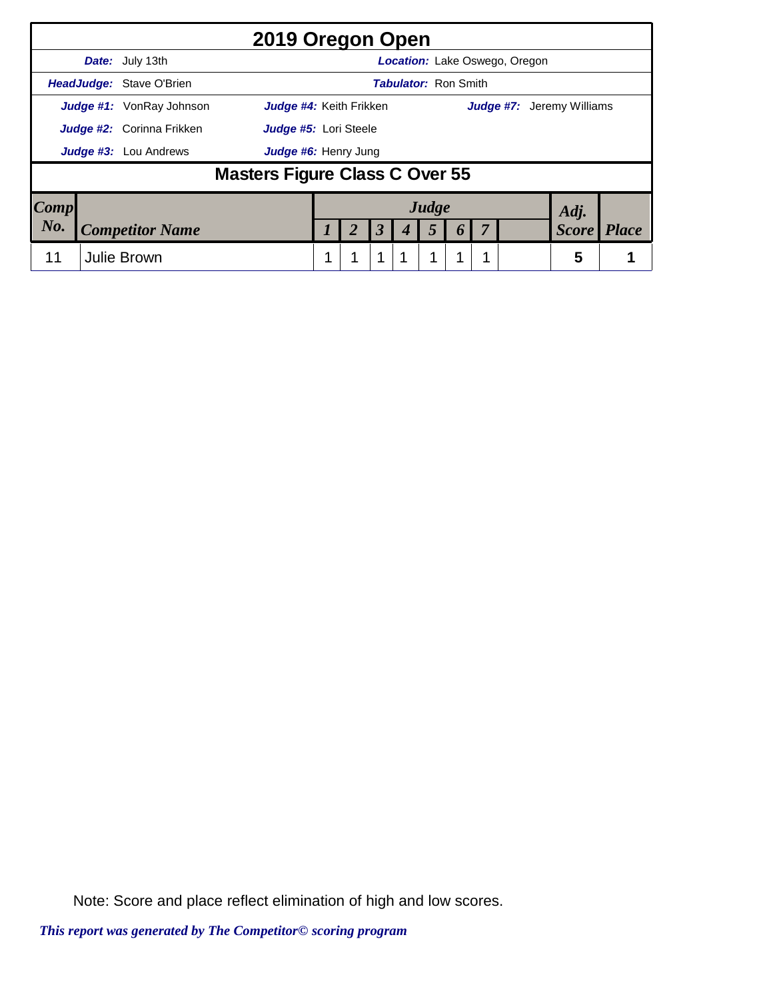|      |                                                                                                |                              | 2019 Oregon Open               |  |  |                      |                             |       |                  |  |                                      |              |              |
|------|------------------------------------------------------------------------------------------------|------------------------------|--------------------------------|--|--|----------------------|-----------------------------|-------|------------------|--|--------------------------------------|--------------|--------------|
|      |                                                                                                | <b>Date:</b> July 13th       |                                |  |  |                      |                             |       |                  |  | <b>Location:</b> Lake Oswego, Oregon |              |              |
|      |                                                                                                | HeadJudge: Stave O'Brien     |                                |  |  |                      | <b>Tabulator: Ron Smith</b> |       |                  |  |                                      |              |              |
|      | <b>Judge #1:</b> VonRay Johnson<br>Judge #4: Keith Frikken<br><b>Judge #7:</b> Jeremy Williams |                              |                                |  |  |                      |                             |       |                  |  |                                      |              |              |
|      | <b>Judge #2:</b> Corinna Frikken<br>Judge #5: Lori Steele                                      |                              |                                |  |  |                      |                             |       |                  |  |                                      |              |              |
|      |                                                                                                | <b>Judge #3:</b> Lou Andrews | Judge #6: Henry Jung           |  |  |                      |                             |       |                  |  |                                      |              |              |
|      |                                                                                                |                              | Masters Figure Class C Over 55 |  |  |                      |                             |       |                  |  |                                      |              |              |
| Comp |                                                                                                |                              |                                |  |  |                      |                             | Judge |                  |  |                                      | Adj.         |              |
| No.  |                                                                                                | <b>Competitor Name</b>       |                                |  |  | $\boldsymbol{\beta}$ |                             | 5     | $\boldsymbol{0}$ |  |                                      | <b>Score</b> | <b>Place</b> |
| 11   |                                                                                                | <b>Julie Brown</b>           |                                |  |  | 1                    |                             | 1     |                  |  |                                      | 5            |              |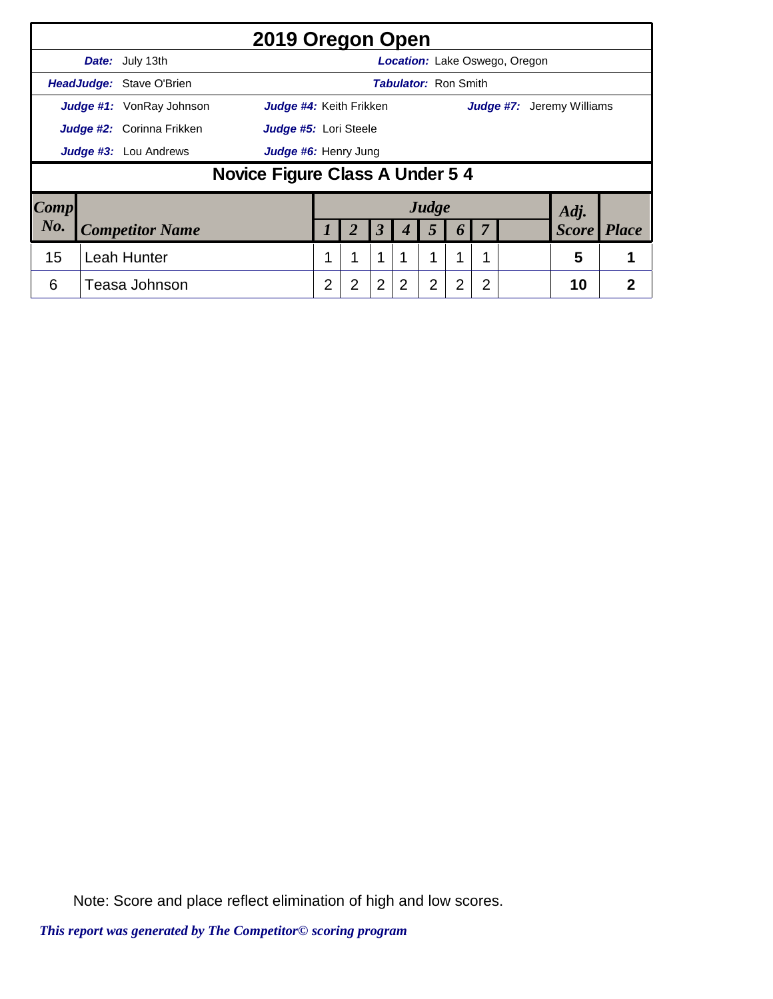|                     |                                  | 2019 Oregon Open                |   |                |                |                             |                |                       |                |                               |                                  |              |
|---------------------|----------------------------------|---------------------------------|---|----------------|----------------|-----------------------------|----------------|-----------------------|----------------|-------------------------------|----------------------------------|--------------|
|                     | Date: July 13th                  |                                 |   |                |                |                             |                |                       |                | Location: Lake Oswego, Oregon |                                  |              |
|                     | HeadJudge: Stave O'Brien         |                                 |   |                |                | <b>Tabulator: Ron Smith</b> |                |                       |                |                               |                                  |              |
|                     | <b>Judge #1:</b> VonRay Johnson  | Judge #4: Keith Frikken         |   |                |                |                             |                |                       |                |                               | <b>Judge #7:</b> Jeremy Williams |              |
|                     | <b>Judge #2:</b> Corinna Frikken | Judge #5: Lori Steele           |   |                |                |                             |                |                       |                |                               |                                  |              |
|                     | <b>Judge #3:</b> Lou Andrews     | Judge #6: Henry Jung            |   |                |                |                             |                |                       |                |                               |                                  |              |
|                     |                                  | Novice Figure Class A Under 5 4 |   |                |                |                             |                |                       |                |                               |                                  |              |
| $\boldsymbol{Comp}$ |                                  |                                 |   |                |                |                             | Judge          |                       |                |                               | Adj.                             |              |
| No.                 | <b>Competitor Name</b>           |                                 |   |                | 3              |                             | 5              | $\boldsymbol{\theta}$ | 7              |                               | <b>Score</b>                     | <i>Place</i> |
| 15                  | <b>Leah Hunter</b>               |                                 | 1 | 1              | $\mathbf{1}$   | 1                           | 1              | 1                     |                |                               | 5                                |              |
| 6                   | Teasa Johnson                    |                                 | 2 | $\overline{2}$ | $\overline{2}$ | $\overline{2}$              | $\overline{2}$ | $\overline{2}$        | $\overline{2}$ |                               | 10                               | 2            |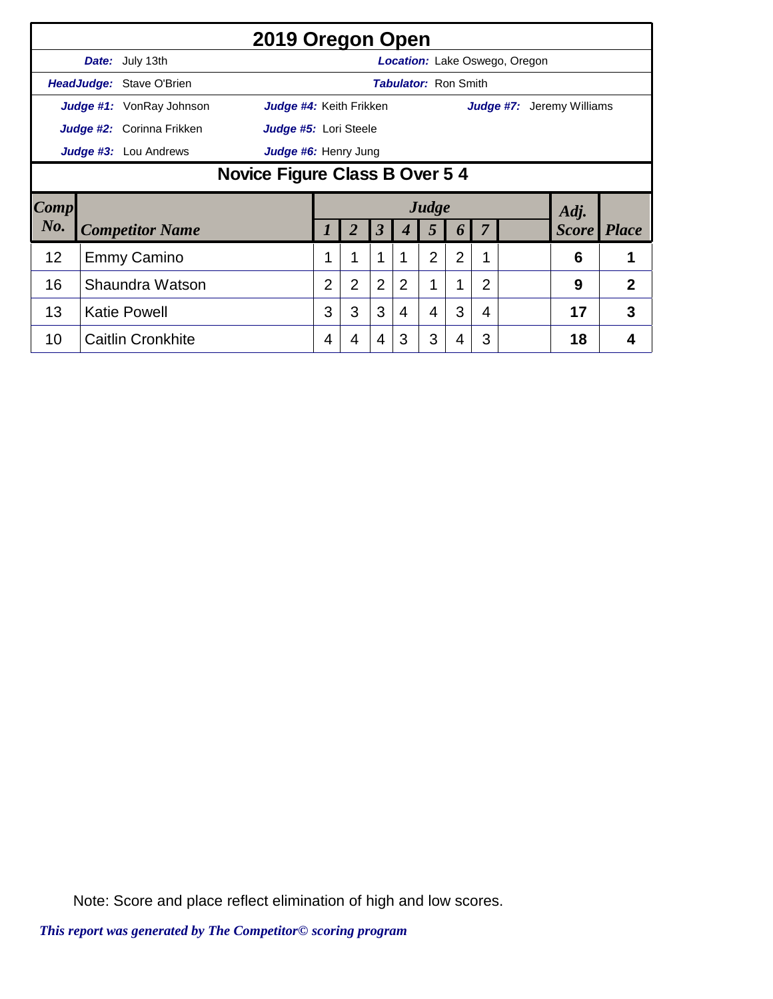|      |                                                                |                           | 2019 Oregon Open        |                |                |                |                             |                         |                  |                |                                      |                                  |                |
|------|----------------------------------------------------------------|---------------------------|-------------------------|----------------|----------------|----------------|-----------------------------|-------------------------|------------------|----------------|--------------------------------------|----------------------------------|----------------|
|      |                                                                | <b>Date:</b> July 13th    |                         |                |                |                |                             |                         |                  |                | <b>Location:</b> Lake Oswego, Oregon |                                  |                |
|      |                                                                | HeadJudge: Stave O'Brien  |                         |                |                |                | <b>Tabulator: Ron Smith</b> |                         |                  |                |                                      |                                  |                |
|      |                                                                | Judge #1: VonRay Johnson  | Judge #4: Keith Frikken |                |                |                |                             |                         |                  |                |                                      | <b>Judge #7:</b> Jeremy Williams |                |
|      |                                                                | Judge #2: Corinna Frikken | Judge #5: Lori Steele   |                |                |                |                             |                         |                  |                |                                      |                                  |                |
|      |                                                                |                           | Judge #6: Henry Jung    |                |                |                |                             |                         |                  |                |                                      |                                  |                |
|      | <b>Judge #3:</b> Lou Andrews<br>Novice Figure Class B Over 5 4 |                           |                         |                |                |                |                             |                         |                  |                |                                      |                                  |                |
|      |                                                                |                           |                         |                |                |                |                             |                         |                  |                |                                      |                                  |                |
| Comp |                                                                |                           |                         |                |                |                |                             | Judge                   |                  |                |                                      |                                  |                |
| No.  |                                                                | <b>Competitor Name</b>    |                         |                |                | 3              |                             | $\overline{\mathbf{5}}$ | $\boldsymbol{b}$ |                |                                      | Adj.<br><b>Score</b>             | <b>Place</b>   |
| 12   |                                                                | <b>Emmy Camino</b>        |                         |                | 1              | $\mathbf 1$    |                             | $\overline{2}$          | $\overline{2}$   | 1              |                                      | 6                                | 1              |
| 16   |                                                                | Shaundra Watson           |                         | $\overline{2}$ | $\overline{2}$ | $\overline{2}$ | 2                           |                         | 1                | $\overline{2}$ |                                      | 9                                | $\overline{2}$ |
| 13   |                                                                | <b>Katie Powell</b>       |                         | 3              | 3              | 3              | 4                           | 4                       | 3                | 4              |                                      | 17                               | 3              |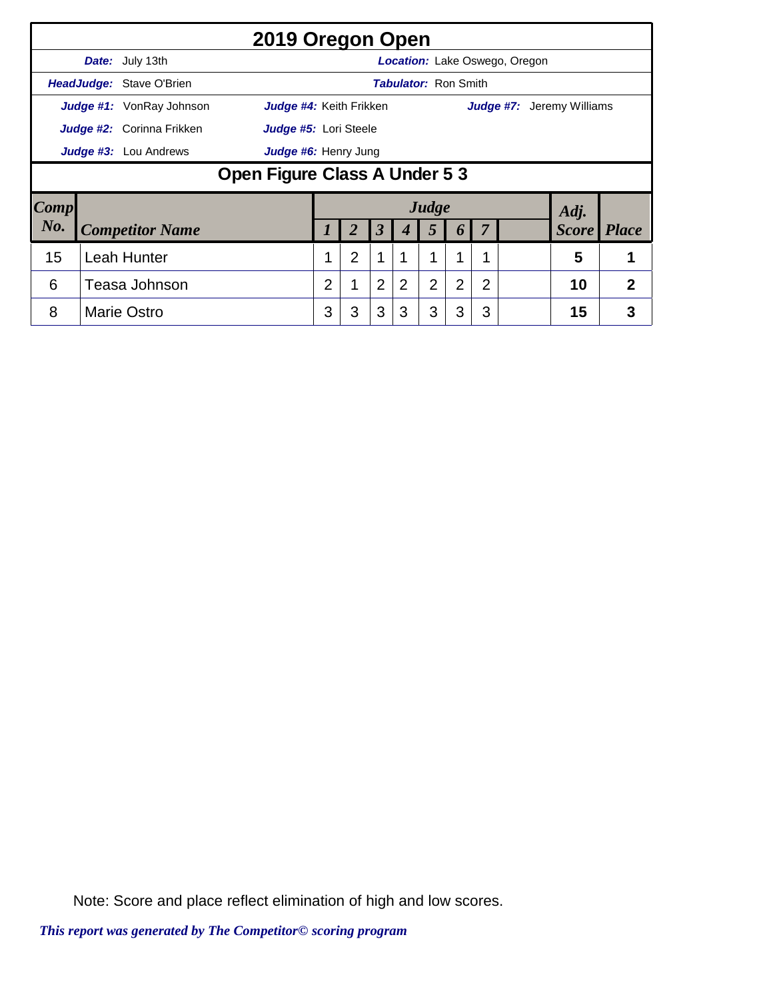|                     |                                                      |                                 | 2019 Oregon Open              |                |                |                |                             |                |   |                |                               |                                  |                |
|---------------------|------------------------------------------------------|---------------------------------|-------------------------------|----------------|----------------|----------------|-----------------------------|----------------|---|----------------|-------------------------------|----------------------------------|----------------|
|                     |                                                      | Date: July 13th                 |                               |                |                |                |                             |                |   |                | Location: Lake Oswego, Oregon |                                  |                |
|                     |                                                      | HeadJudge: Stave O'Brien        |                               |                |                |                | <b>Tabulator: Ron Smith</b> |                |   |                |                               |                                  |                |
|                     |                                                      | <b>Judge #1:</b> VonRay Johnson | Judge #4: Keith Frikken       |                |                |                |                             |                |   |                |                               | <b>Judge #7:</b> Jeremy Williams |                |
|                     | Judge #2: Corinna Frikken<br>Judge #5: Lori Steele   |                                 |                               |                |                |                |                             |                |   |                |                               |                                  |                |
|                     | <b>Judge #3:</b> Lou Andrews<br>Judge #6: Henry Jung |                                 |                               |                |                |                |                             |                |   |                |                               |                                  |                |
|                     |                                                      |                                 | Open Figure Class A Under 5 3 |                |                |                |                             |                |   |                |                               |                                  |                |
| $\boldsymbol{Comp}$ |                                                      |                                 |                               |                |                |                |                             | Judge          |   |                |                               | Adj.                             |                |
| No.                 |                                                      | <b>Competitor Name</b>          |                               |                |                | 3              | 4                           | 5              | 6 |                |                               | <i>Score</i>                     | <i>Place</i>   |
| 15                  |                                                      | <b>Leah Hunter</b>              |                               |                | $\overline{2}$ | 1              |                             |                | 1 |                |                               | 5                                | 1              |
| 6                   |                                                      | Teasa Johnson                   |                               | $\overline{2}$ | 1              | $\overline{2}$ | 2                           | $\overline{2}$ | 2 | $\overline{2}$ |                               | 10                               | $\overline{2}$ |
| 8                   |                                                      | <b>Marie Ostro</b>              |                               | 3              | 3              | 3              | 3                           | 3              | 3 | 3              |                               | 15                               | 3              |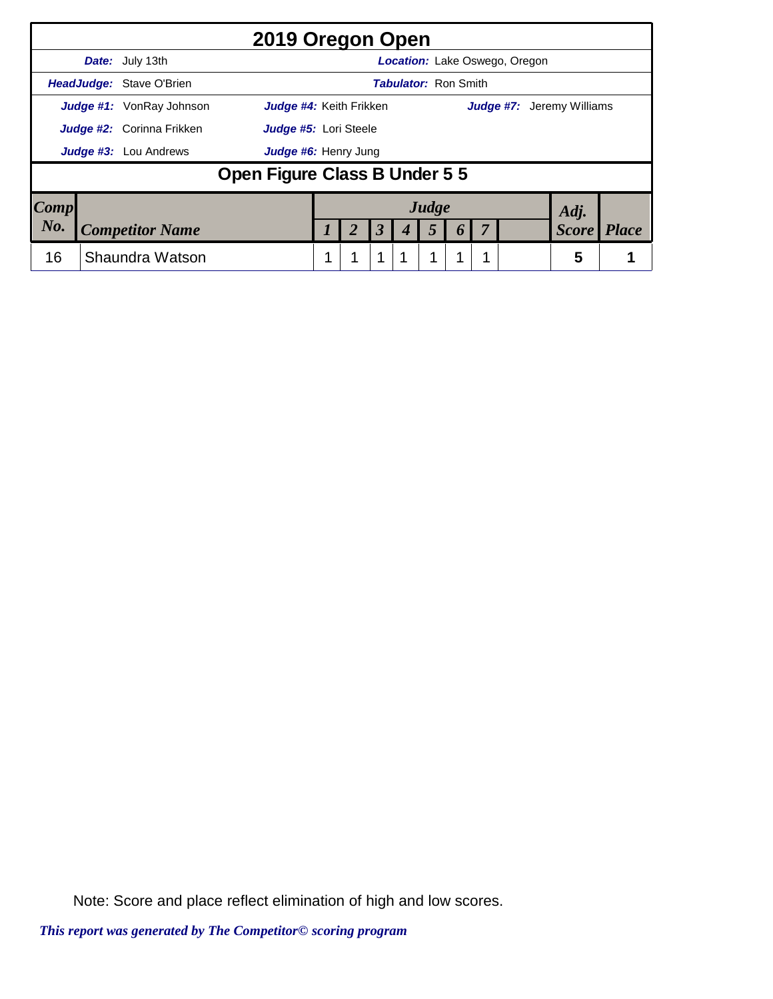|                     |                                  |                                 |                               | 2019 Oregon Open        |  |                      |                             |  |                                      |                                  |              |
|---------------------|----------------------------------|---------------------------------|-------------------------------|-------------------------|--|----------------------|-----------------------------|--|--------------------------------------|----------------------------------|--------------|
|                     |                                  | Date: July 13th                 |                               |                         |  |                      |                             |  | <b>Location:</b> Lake Oswego, Oregon |                                  |              |
|                     |                                  | <b>HeadJudge: Stave O'Brien</b> |                               |                         |  |                      | <b>Tabulator: Ron Smith</b> |  |                                      |                                  |              |
|                     |                                  | <b>Judge #1:</b> VonRay Johnson |                               | Judge #4: Keith Frikken |  |                      |                             |  |                                      | <b>Judge #7:</b> Jeremy Williams |              |
|                     | <b>Judge #2:</b> Corinna Frikken | Judge #5: Lori Steele           |                               |                         |  |                      |                             |  |                                      |                                  |              |
|                     |                                  | <b>Judge #3:</b> Lou Andrews    | Judge #6: Henry Jung          |                         |  |                      |                             |  |                                      |                                  |              |
|                     |                                  |                                 | Open Figure Class B Under 5 5 |                         |  |                      |                             |  |                                      |                                  |              |
| $\boldsymbol{Comp}$ |                                  |                                 |                               |                         |  |                      | Judge                       |  |                                      | Adj.                             |              |
| No.                 |                                  | <b>Competitor Name</b>          |                               |                         |  | $\boldsymbol{\beta}$ |                             |  |                                      | <b>Score</b>                     | <b>Place</b> |
| 16                  |                                  | Shaundra Watson                 |                               |                         |  | 1                    | 1                           |  |                                      | 5                                |              |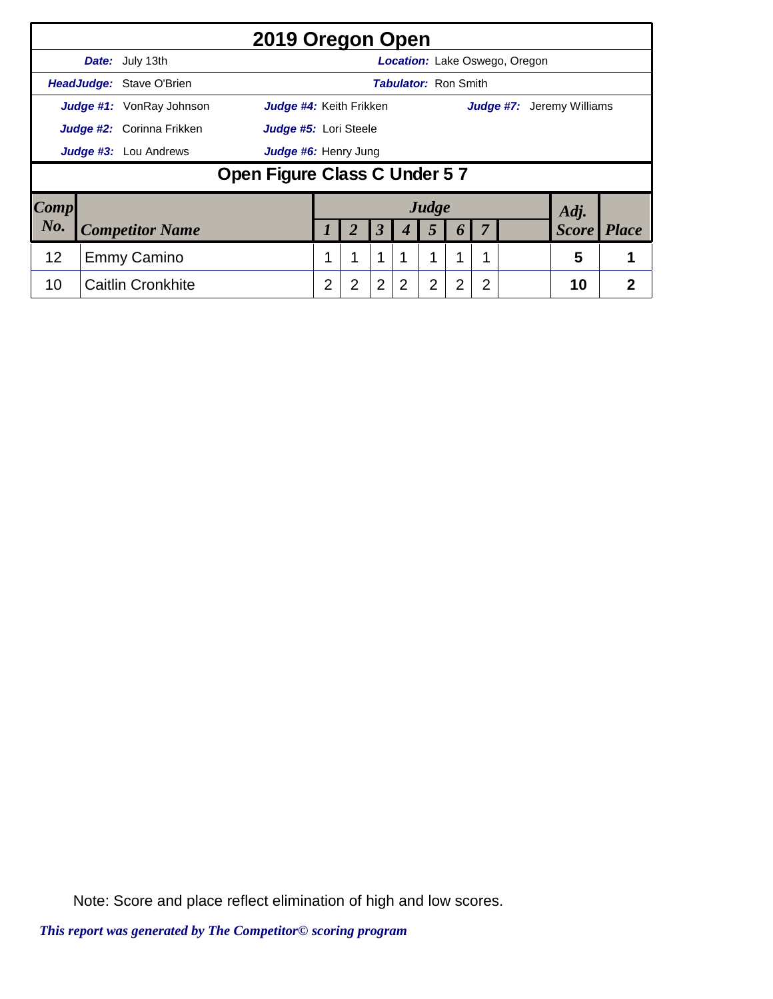|                     |                           |                          | 2019 Oregon Open             |   |   |                      |                             |                |                       |    |                               |                                  |   |
|---------------------|---------------------------|--------------------------|------------------------------|---|---|----------------------|-----------------------------|----------------|-----------------------|----|-------------------------------|----------------------------------|---|
|                     |                           | <b>Date:</b> July 13th   |                              |   |   |                      |                             |                |                       |    | Location: Lake Oswego, Oregon |                                  |   |
|                     |                           | HeadJudge: Stave O'Brien |                              |   |   |                      | <b>Tabulator: Ron Smith</b> |                |                       |    |                               |                                  |   |
|                     |                           | Judge #1: VonRay Johnson | Judge #4: Keith Frikken      |   |   |                      |                             |                |                       |    |                               | <b>Judge #7:</b> Jeremy Williams |   |
|                     | Judge #2: Corinna Frikken | Judge #5: Lori Steele    |                              |   |   |                      |                             |                |                       |    |                               |                                  |   |
|                     |                           | Judge #3: Lou Andrews    | Judge #6: Henry Jung         |   |   |                      |                             |                |                       |    |                               |                                  |   |
|                     |                           |                          | Open Figure Class C Under 57 |   |   |                      |                             |                |                       |    |                               |                                  |   |
| $\boldsymbol{Comp}$ |                           |                          |                              |   |   |                      |                             | Judge          |                       |    |                               | Adj.                             |   |
| No.                 |                           | <b>Competitor Name</b>   |                              |   |   | $\boldsymbol{\beta}$ | 4                           | 5              | $\boldsymbol{\theta}$ | -7 |                               | <b>Score</b> Place               |   |
| 12                  |                           | Emmy Camino              |                              |   |   | 1                    |                             | 1              | 1                     |    |                               | 5                                |   |
| 10                  |                           | <b>Caitlin Cronkhite</b> |                              | 2 | 2 | $\overline{2}$       | $\mathcal{P}$               | $\overline{2}$ | 2                     | 2  |                               | 10                               | 2 |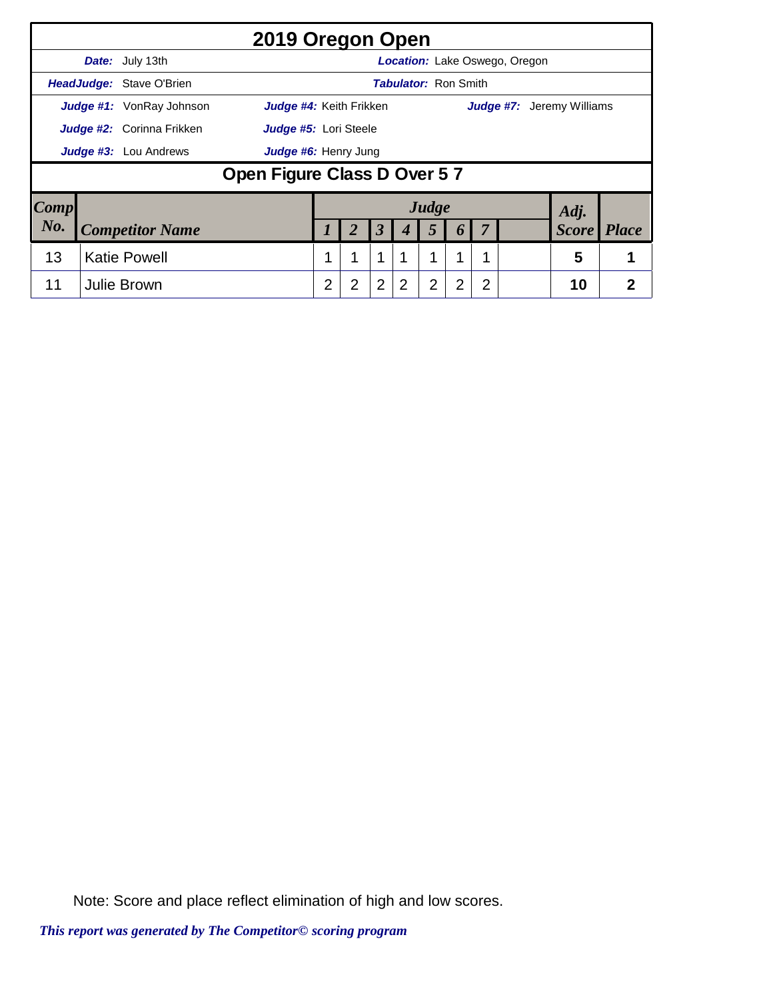|        |                                  |                                 | 2019 Oregon Open            |                  |                      |                      |                             |                |   |    |                               |                                  |                |
|--------|----------------------------------|---------------------------------|-----------------------------|------------------|----------------------|----------------------|-----------------------------|----------------|---|----|-------------------------------|----------------------------------|----------------|
|        |                                  | Date: July 13th                 |                             |                  |                      |                      |                             |                |   |    | Location: Lake Oswego, Oregon |                                  |                |
|        |                                  | HeadJudge: Stave O'Brien        |                             |                  |                      |                      | <b>Tabulator: Ron Smith</b> |                |   |    |                               |                                  |                |
|        |                                  | <b>Judge #1:</b> VonRay Johnson | Judge #4: Keith Frikken     |                  |                      |                      |                             |                |   |    |                               | <b>Judge #7:</b> Jeremy Williams |                |
|        | <b>Judge #2:</b> Corinna Frikken | Judge #5: Lori Steele           |                             |                  |                      |                      |                             |                |   |    |                               |                                  |                |
|        | <b>Judge #3:</b> Lou Andrews     |                                 |                             |                  | Judge #6: Henry Jung |                      |                             |                |   |    |                               |                                  |                |
|        |                                  |                                 | Open Figure Class D Over 57 |                  |                      |                      |                             |                |   |    |                               |                                  |                |
| Comp   |                                  |                                 |                             |                  |                      |                      |                             | Judge          |   |    |                               | Adj.                             |                |
| $N0$ . |                                  | <b>Competitor Name</b>          |                             | $\boldsymbol{l}$ | 2                    | $\boldsymbol{\beta}$ | $\boldsymbol{4}$            | 5              | 6 | -7 |                               | <b>Score</b> Place               |                |
| 13     |                                  | <b>Katie Powell</b>             |                             |                  |                      | 1                    |                             | 1              | 1 |    |                               | 5                                |                |
| 11     |                                  | Julie Brown                     |                             | 2                | 2                    | $\overline{2}$       | 2                           | $\overline{2}$ | 2 | 2  |                               | 10                               | $\overline{2}$ |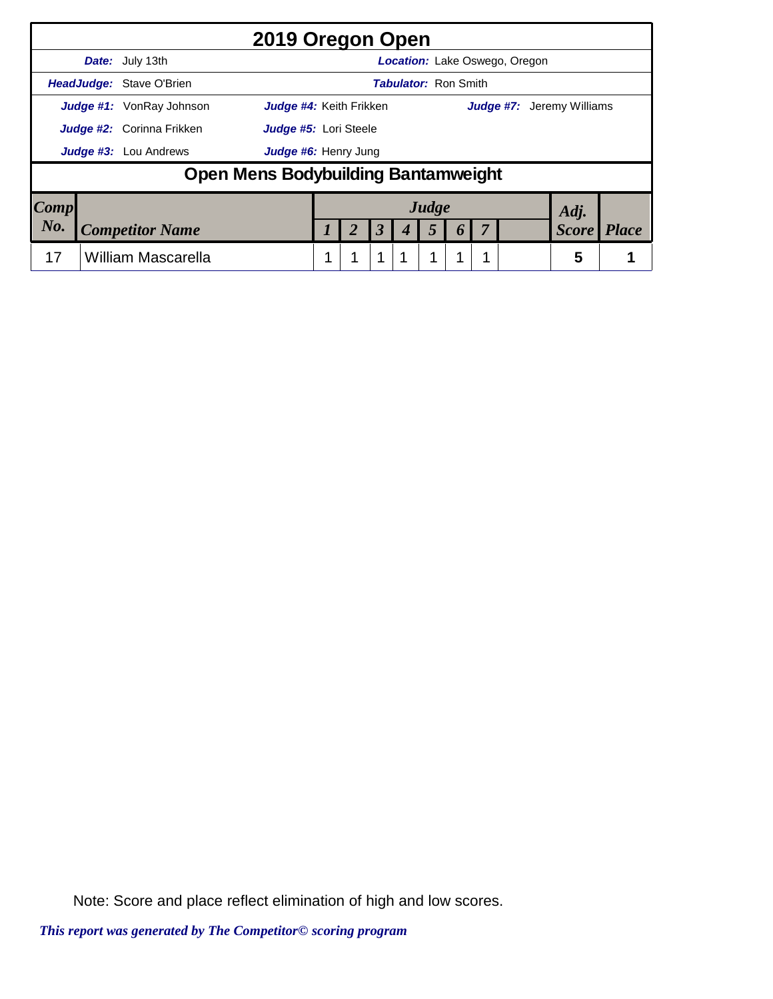|      | 2019 Oregon Open                                                  |  |                      |                             |                  |                                      |              |              |
|------|-------------------------------------------------------------------|--|----------------------|-----------------------------|------------------|--------------------------------------|--------------|--------------|
|      | <b>Date:</b> July 13th                                            |  |                      |                             |                  | <b>Location:</b> Lake Oswego, Oregon |              |              |
|      | HeadJudge: Stave O'Brien                                          |  |                      | <b>Tabulator: Ron Smith</b> |                  |                                      |              |              |
|      | <b>Judge #1:</b> VonRay Johnson<br><b>Judge #4:</b> Keith Frikken |  |                      |                             |                  | <b>Judge #7:</b> Jeremy Williams     |              |              |
|      | <b>Judge #2:</b> Corinna Frikken<br>Judge #5: Lori Steele         |  |                      |                             |                  |                                      |              |              |
|      | <b>Judge #3:</b> Lou Andrews<br>Judge #6: Henry Jung              |  |                      |                             |                  |                                      |              |              |
|      | Open Mens Bodybuilding Bantamweight                               |  |                      |                             |                  |                                      |              |              |
| Comp |                                                                   |  |                      | Judge                       |                  |                                      | Adj.         |              |
| No.  | <b>Competitor Name</b>                                            |  | $\boldsymbol{\beta}$ | 5                           | $\boldsymbol{0}$ |                                      | <b>Score</b> | <b>Place</b> |
| 17   | William Mascarella                                                |  | 1                    | 1                           |                  |                                      | 5            |              |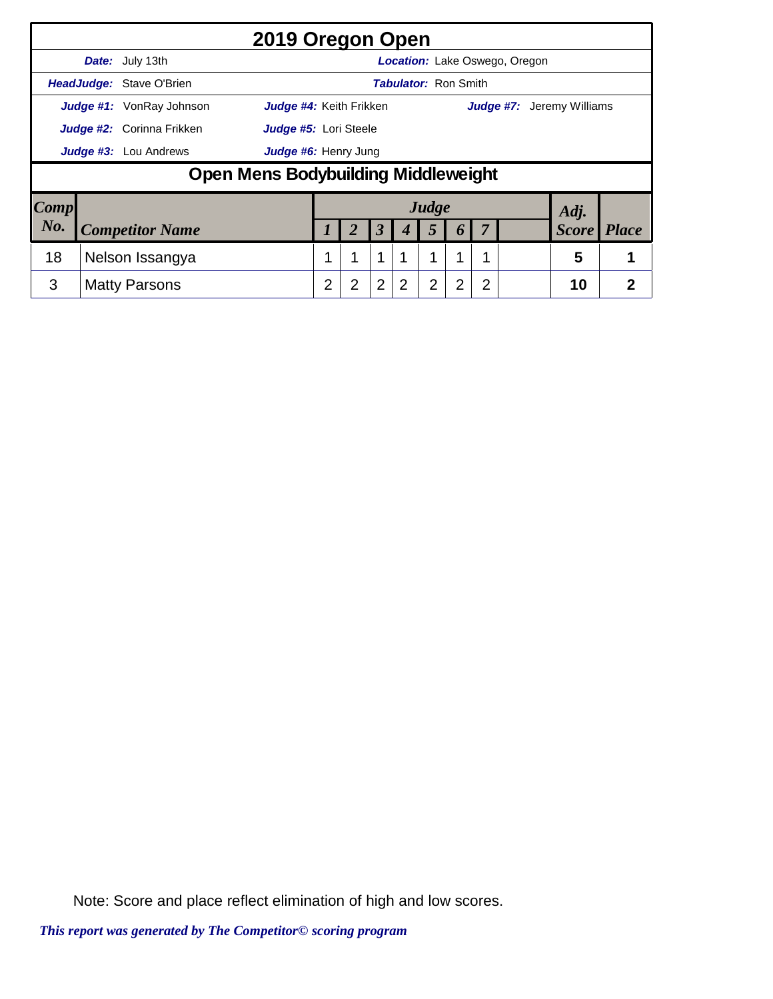|                        |                              |                                 | 2019 Oregon Open                    |   |                      |                |                             |                |                  |   |                               |                                  |              |
|------------------------|------------------------------|---------------------------------|-------------------------------------|---|----------------------|----------------|-----------------------------|----------------|------------------|---|-------------------------------|----------------------------------|--------------|
|                        |                              | Date: July 13th                 |                                     |   |                      |                |                             |                |                  |   | Location: Lake Oswego, Oregon |                                  |              |
|                        |                              | HeadJudge: Stave O'Brien        |                                     |   |                      |                | <b>Tabulator: Ron Smith</b> |                |                  |   |                               |                                  |              |
|                        |                              | <b>Judge #1:</b> VonRay Johnson | Judge #4: Keith Frikken             |   |                      |                |                             |                |                  |   |                               | <b>Judge #7:</b> Jeremy Williams |              |
|                        | Judge #2: Corinna Frikken    | Judge #5: Lori Steele           |                                     |   |                      |                |                             |                |                  |   |                               |                                  |              |
|                        | <b>Judge #3:</b> Lou Andrews |                                 |                                     |   | Judge #6: Henry Jung |                |                             |                |                  |   |                               |                                  |              |
|                        |                              |                                 | Open Mens Bodybuilding Middleweight |   |                      |                |                             |                |                  |   |                               |                                  |              |
| $\lfloor Comp \rfloor$ |                              |                                 |                                     |   |                      |                |                             | Judge          |                  |   |                               | Adj.                             |              |
| No.                    |                              | <b>Competitor Name</b>          |                                     |   |                      | 3              | 4                           | 5              | $\boldsymbol{b}$ |   |                               | <b>Score</b>                     | <i>Place</i> |
| 18                     | Nelson Issangya              |                                 |                                     |   | $\mathbf 1$          |                | 1                           | 1              |                  |   | 5                             |                                  |              |
| 3                      |                              | <b>Matty Parsons</b>            |                                     | 2 | 2                    | $\overline{2}$ | 2                           | $\overline{2}$ | $\overline{2}$   | 2 |                               | 10                               | 2            |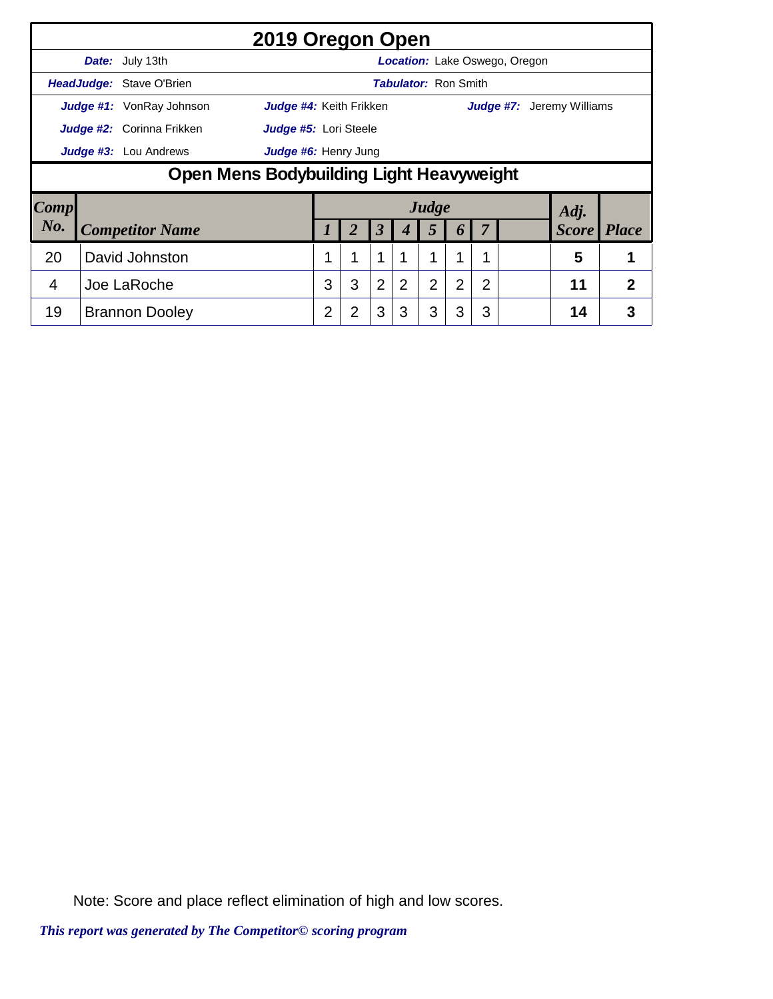|                |                                          |                              | 2019 Oregon Open        |   |   |                      |                             |                |                |   |                               |                                  |                |
|----------------|------------------------------------------|------------------------------|-------------------------|---|---|----------------------|-----------------------------|----------------|----------------|---|-------------------------------|----------------------------------|----------------|
|                |                                          | Date: July 13th              |                         |   |   |                      |                             |                |                |   | Location: Lake Oswego, Oregon |                                  |                |
|                |                                          | HeadJudge: Stave O'Brien     |                         |   |   |                      | <b>Tabulator: Ron Smith</b> |                |                |   |                               |                                  |                |
|                |                                          | Judge #1: VonRay Johnson     | Judge #4: Keith Frikken |   |   |                      |                             |                |                |   |                               | <b>Judge #7:</b> Jeremy Williams |                |
|                |                                          | Judge #2: Corinna Frikken    | Judge #5: Lori Steele   |   |   |                      |                             |                |                |   |                               |                                  |                |
|                |                                          | <b>Judge #3:</b> Lou Andrews | Judge #6: Henry Jung    |   |   |                      |                             |                |                |   |                               |                                  |                |
|                | Open Mens Bodybuilding Light Heavyweight |                              |                         |   |   |                      |                             |                |                |   |                               |                                  |                |
| Comp           |                                          |                              |                         |   |   |                      |                             | Judge          |                |   |                               | Adj.                             |                |
| No.            |                                          | <b>Competitor Name</b>       |                         |   | 2 | $\boldsymbol{\beta}$ | 4                           | 5              | 6              |   |                               | <b>Score</b>                     | <i>Place</i>   |
| 20             |                                          | David Johnston               |                         |   | 1 | 1                    |                             |                | и              |   |                               | 5                                |                |
| $\overline{4}$ |                                          | Joe LaRoche                  |                         | 3 | 3 | 2                    | 2                           | $\overline{2}$ | $\overline{2}$ | 2 |                               | 11                               | $\overline{2}$ |
| 19             |                                          | <b>Brannon Dooley</b>        |                         | 2 | 2 | 3                    | 3                           | 3              | 3              | 3 |                               | 14                               | 3              |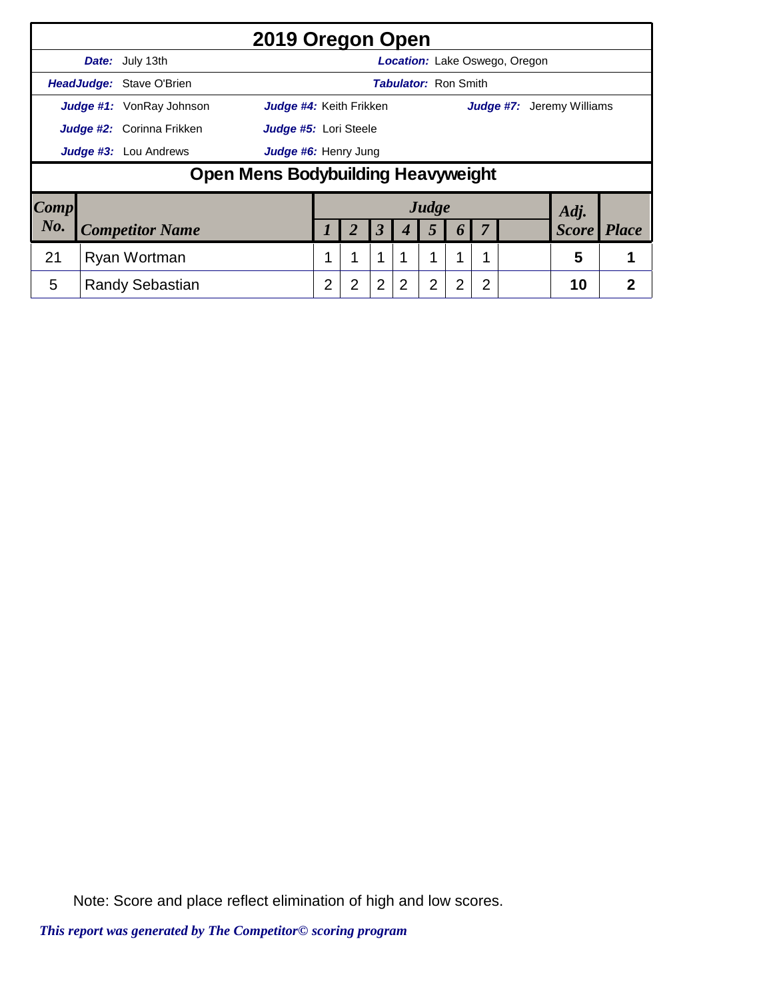|                        |                              |                                 | 2019 Oregon Open                   |   |                       |                |                             |                |                  |   |                               |                                  |              |
|------------------------|------------------------------|---------------------------------|------------------------------------|---|-----------------------|----------------|-----------------------------|----------------|------------------|---|-------------------------------|----------------------------------|--------------|
|                        |                              | Date: July 13th                 |                                    |   |                       |                |                             |                |                  |   | Location: Lake Oswego, Oregon |                                  |              |
|                        |                              | HeadJudge: Stave O'Brien        |                                    |   |                       |                | <b>Tabulator: Ron Smith</b> |                |                  |   |                               |                                  |              |
|                        |                              | <b>Judge #1:</b> VonRay Johnson | Judge #4: Keith Frikken            |   |                       |                |                             |                |                  |   |                               | <b>Judge #7:</b> Jeremy Williams |              |
|                        | Judge #2: Corinna Frikken    |                                 |                                    |   | Judge #5: Lori Steele |                |                             |                |                  |   |                               |                                  |              |
|                        | <b>Judge #3:</b> Lou Andrews |                                 |                                    |   | Judge #6: Henry Jung  |                |                             |                |                  |   |                               |                                  |              |
|                        |                              |                                 | Open Mens Bodybuilding Heavyweight |   |                       |                |                             |                |                  |   |                               |                                  |              |
| $\lfloor Comp \rfloor$ |                              |                                 |                                    |   |                       |                |                             | Judge          |                  |   |                               | Adj.                             |              |
| No.                    |                              | <b>Competitor Name</b>          |                                    |   |                       | 3              | 4                           | 5              | $\boldsymbol{b}$ |   |                               | <b>Score</b>                     | <i>Place</i> |
| 21                     |                              | Ryan Wortman                    |                                    |   |                       | $\mathbf 1$    |                             | 1              | 1                |   |                               | 5                                |              |
| 5                      |                              | <b>Randy Sebastian</b>          |                                    | 2 | 2                     | $\overline{2}$ | 2                           | $\overline{2}$ | $\overline{2}$   | 2 |                               | 10                               | 2            |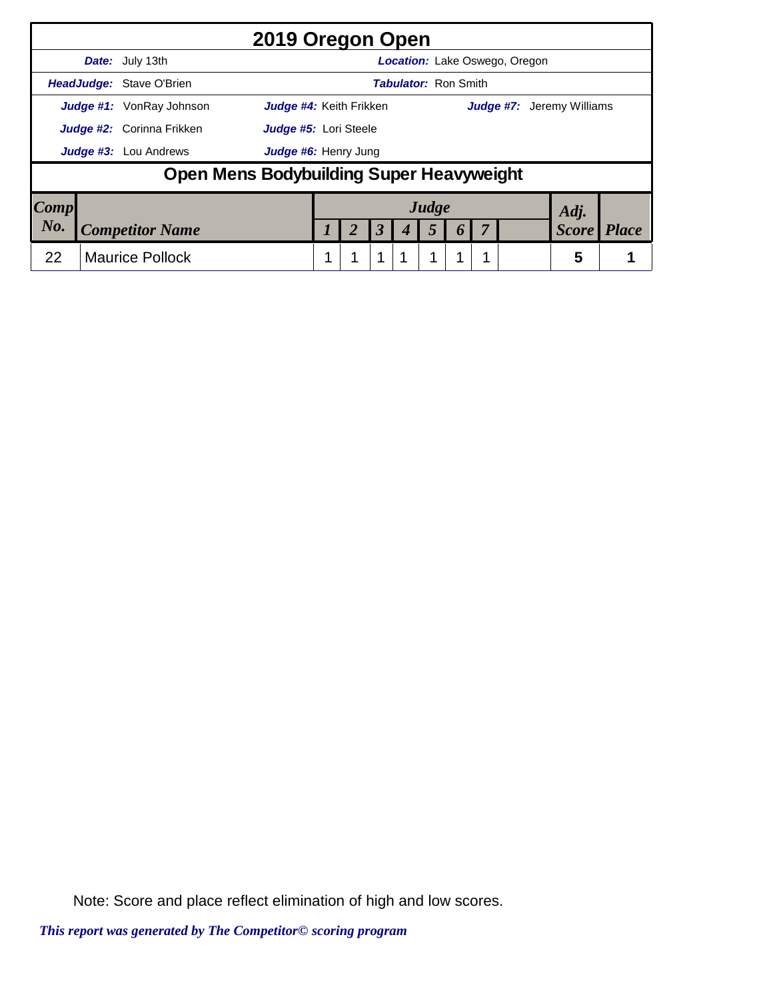|      |                                  |                                          | 2019 Oregon Open               |  |                      |                             |          |                                      |              |              |
|------|----------------------------------|------------------------------------------|--------------------------------|--|----------------------|-----------------------------|----------|--------------------------------------|--------------|--------------|
|      |                                  | <b>Date:</b> July 13th                   |                                |  |                      |                             |          | <b>Location:</b> Lake Oswego, Oregon |              |              |
|      |                                  | HeadJudge: Stave O'Brien                 |                                |  |                      | <b>Tabulator: Ron Smith</b> |          |                                      |              |              |
|      |                                  | <b>Judge #1:</b> VonRay Johnson          | <b>Judge #4:</b> Keith Frikken |  |                      |                             |          | <b>Judge #7:</b> Jeremy Williams     |              |              |
|      | <b>Judge #2:</b> Corinna Frikken | Judge #5: Lori Steele                    |                                |  |                      |                             |          |                                      |              |              |
|      |                                  | <b>Judge #3:</b> Lou Andrews             | Judge #6: Henry Jung           |  |                      |                             |          |                                      |              |              |
|      |                                  | Open Mens Bodybuilding Super Heavyweight |                                |  |                      |                             |          |                                      |              |              |
| Comp |                                  |                                          |                                |  |                      | Judge                       |          |                                      | Adj.         |              |
| No.  |                                  | <b>Competitor Name</b>                   |                                |  | $\boldsymbol{\beta}$ | 5                           | $\bm{o}$ |                                      | <b>Score</b> | <b>Place</b> |
| 22   |                                  | <b>Maurice Pollock</b>                   |                                |  | 1                    | 1                           |          |                                      | 5            |              |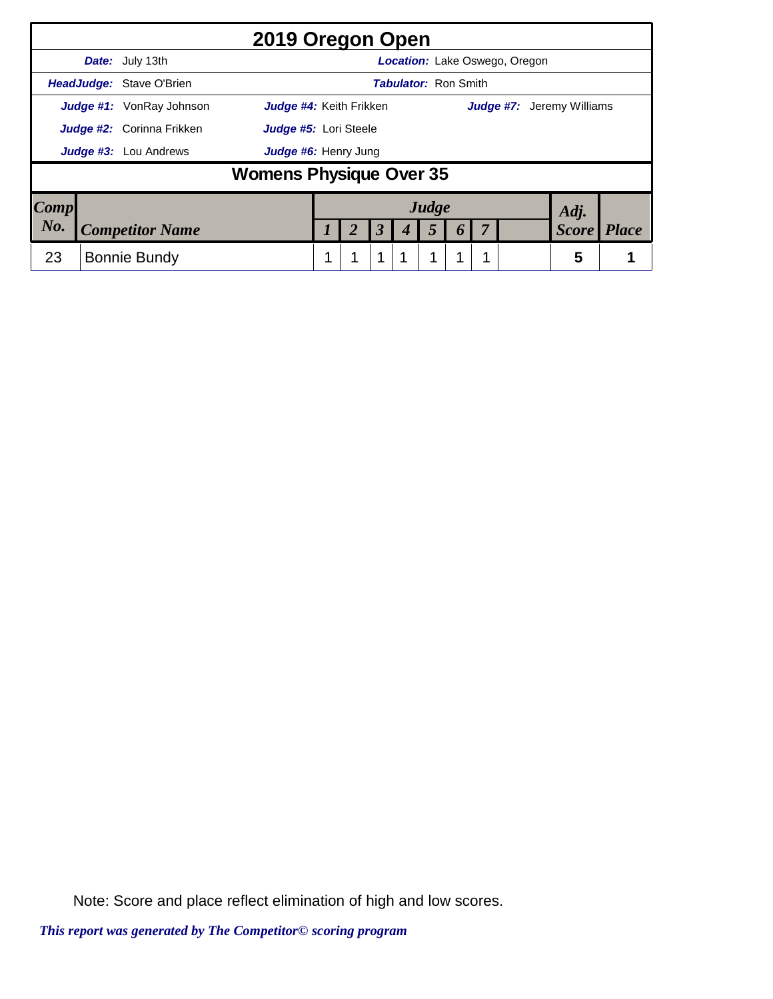|                                                      |  |                                  | 2019 Oregon Open               |  |  |                      |                             |       |                       |                                      |                                  |              |
|------------------------------------------------------|--|----------------------------------|--------------------------------|--|--|----------------------|-----------------------------|-------|-----------------------|--------------------------------------|----------------------------------|--------------|
|                                                      |  | <b>Date:</b> July 13th           |                                |  |  |                      |                             |       |                       | <b>Location:</b> Lake Oswego, Oregon |                                  |              |
|                                                      |  | HeadJudge: Stave O'Brien         |                                |  |  |                      | <b>Tabulator: Ron Smith</b> |       |                       |                                      |                                  |              |
|                                                      |  | <b>Judge #1:</b> VonRay Johnson  | Judge #4: Keith Frikken        |  |  |                      |                             |       |                       |                                      | <b>Judge #7:</b> Jeremy Williams |              |
|                                                      |  | <b>Judge #2:</b> Corinna Frikken | Judge #5: Lori Steele          |  |  |                      |                             |       |                       |                                      |                                  |              |
| <b>Judge #3:</b> Lou Andrews<br>Judge #6: Henry Jung |  |                                  |                                |  |  |                      |                             |       |                       |                                      |                                  |              |
|                                                      |  |                                  | <b>Womens Physique Over 35</b> |  |  |                      |                             |       |                       |                                      |                                  |              |
| Comp                                                 |  |                                  |                                |  |  |                      |                             | Judge |                       |                                      | Adj.                             |              |
| No.                                                  |  | <b>Competitor Name</b>           |                                |  |  | $\boldsymbol{\beta}$ |                             | 5     | $\boldsymbol{\theta}$ |                                      | <b>Score</b>                     | <b>Place</b> |
| 23                                                   |  | Bonnie Bundy                     |                                |  |  | 1                    |                             | 1     |                       |                                      | 5                                |              |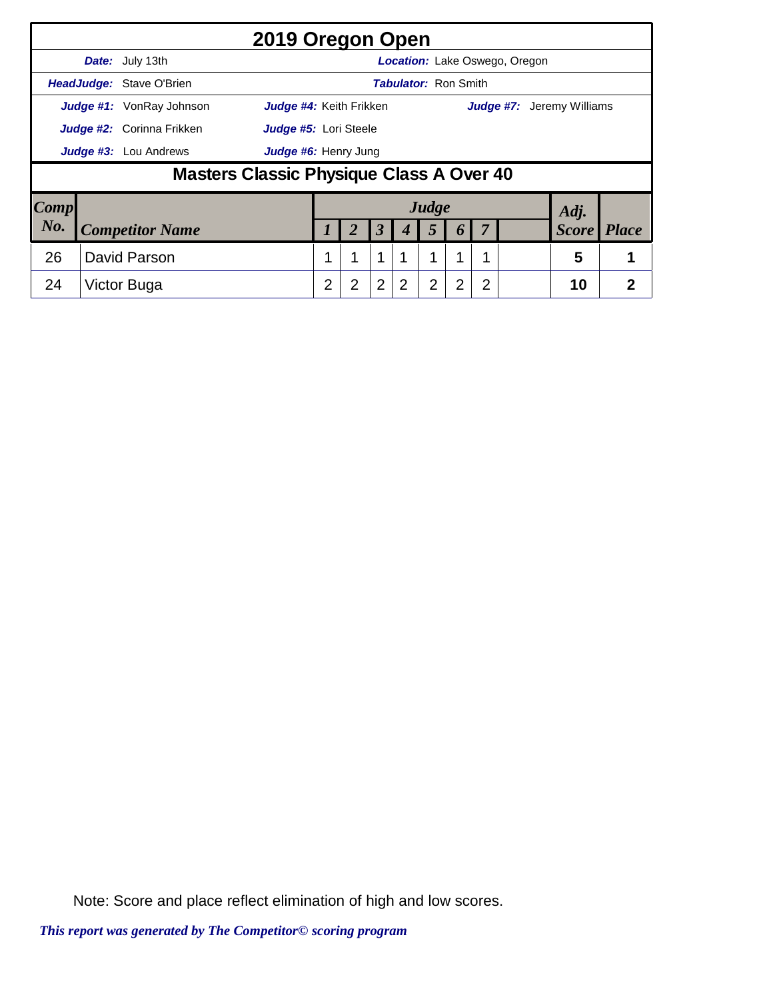|                     |                                  |                                          | 2019 Oregon Open        |   |                       |                |                             |                |                  |   |                                  |                    |   |
|---------------------|----------------------------------|------------------------------------------|-------------------------|---|-----------------------|----------------|-----------------------------|----------------|------------------|---|----------------------------------|--------------------|---|
|                     |                                  | Date: July 13th                          |                         |   |                       |                |                             |                |                  |   | Location: Lake Oswego, Oregon    |                    |   |
|                     |                                  | <b>HeadJudge: Stave O'Brien</b>          |                         |   |                       |                | <b>Tabulator: Ron Smith</b> |                |                  |   |                                  |                    |   |
|                     |                                  | Judge #1: VonRay Johnson                 | Judge #4: Keith Frikken |   |                       |                |                             |                |                  |   | <b>Judge #7:</b> Jeremy Williams |                    |   |
|                     | <b>Judge #2:</b> Corinna Frikken |                                          |                         |   | Judge #5: Lori Steele |                |                             |                |                  |   |                                  |                    |   |
|                     | Judge #3: Lou Andrews            |                                          |                         |   | Judge #6: Henry Jung  |                |                             |                |                  |   |                                  |                    |   |
|                     |                                  | Masters Classic Physique Class A Over 40 |                         |   |                       |                |                             |                |                  |   |                                  |                    |   |
| $\boldsymbol{Comp}$ |                                  |                                          |                         |   |                       |                |                             | Judge          |                  |   |                                  | Adj.               |   |
| No.                 |                                  | <b>Competitor Name</b>                   |                         |   |                       | 3              |                             | 5              | $\boldsymbol{p}$ |   |                                  | <b>Score</b> Place |   |
| 26                  |                                  | David Parson                             |                         |   |                       | 1              |                             | 1              |                  |   |                                  | 5                  |   |
| 24                  |                                  | Victor Buga                              |                         | 2 | 2                     | $\overline{2}$ | 2                           | $\overline{2}$ | 2                | 2 |                                  | 10                 | 2 |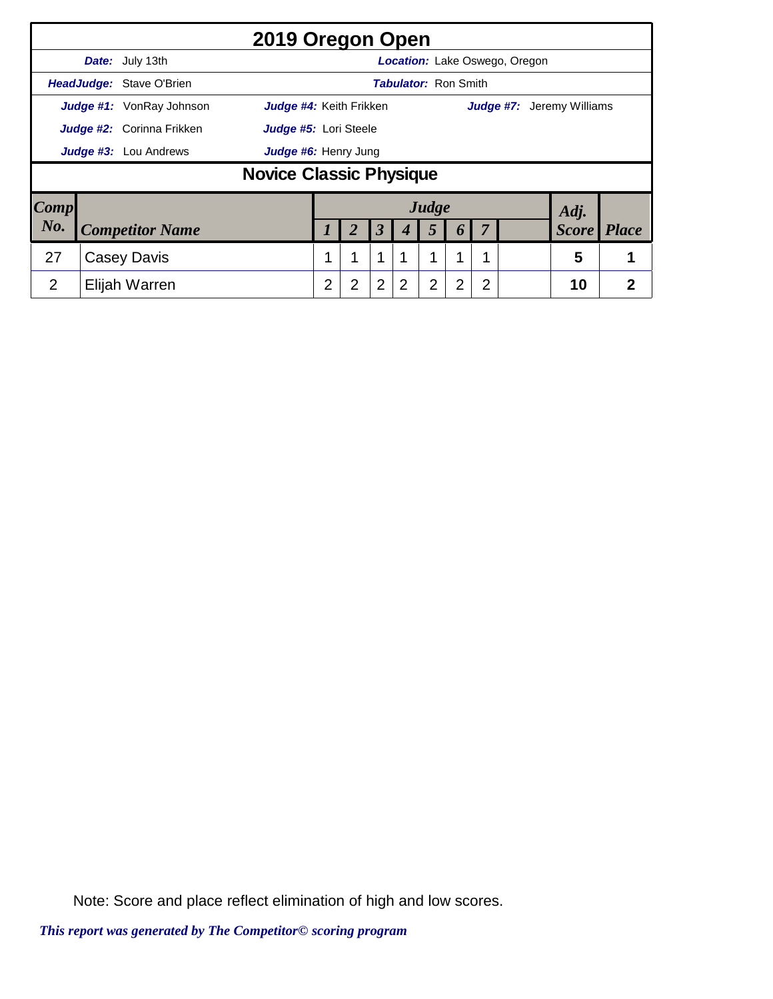|                |                                 | 2019 Oregon Open               |                |                |                      |                             |       |                  |                |                               |                           |                |
|----------------|---------------------------------|--------------------------------|----------------|----------------|----------------------|-----------------------------|-------|------------------|----------------|-------------------------------|---------------------------|----------------|
|                | Date: July 13th                 |                                |                |                |                      |                             |       |                  |                | Location: Lake Oswego, Oregon |                           |                |
|                | HeadJudge: Stave O'Brien        |                                |                |                |                      | <b>Tabulator: Ron Smith</b> |       |                  |                |                               |                           |                |
|                | <b>Judge #1:</b> VonRay Johnson | Judge #4: Keith Frikken        |                |                |                      |                             |       |                  |                |                               | Judge #7: Jeremy Williams |                |
|                | Judge #2: Corinna Frikken       | Judge #5: Lori Steele          |                |                |                      |                             |       |                  |                |                               |                           |                |
|                | <b>Judge #3:</b> Lou Andrews    | Judge #6: Henry Jung           |                |                |                      |                             |       |                  |                |                               |                           |                |
|                |                                 | <b>Novice Classic Physique</b> |                |                |                      |                             |       |                  |                |                               |                           |                |
| Comp           |                                 |                                |                |                |                      |                             | Judge |                  |                |                               | Adj.                      |                |
| No.            | <b>Competitor Name</b>          |                                |                | 2              | $\boldsymbol{\beta}$ | 4                           | 5     | $\boldsymbol{0}$ |                |                               | <b>Score</b>              | <b>Place</b>   |
| 27             | Casey Davis                     |                                |                | 1              | 1                    |                             | 1     | 1                |                |                               | 5                         |                |
| $\overline{2}$ | Elijah Warren                   |                                | $\overline{2}$ | $\overline{2}$ | $\overline{2}$       | 2                           | 2     | 2                | $\overline{2}$ |                               | 10                        | $\overline{2}$ |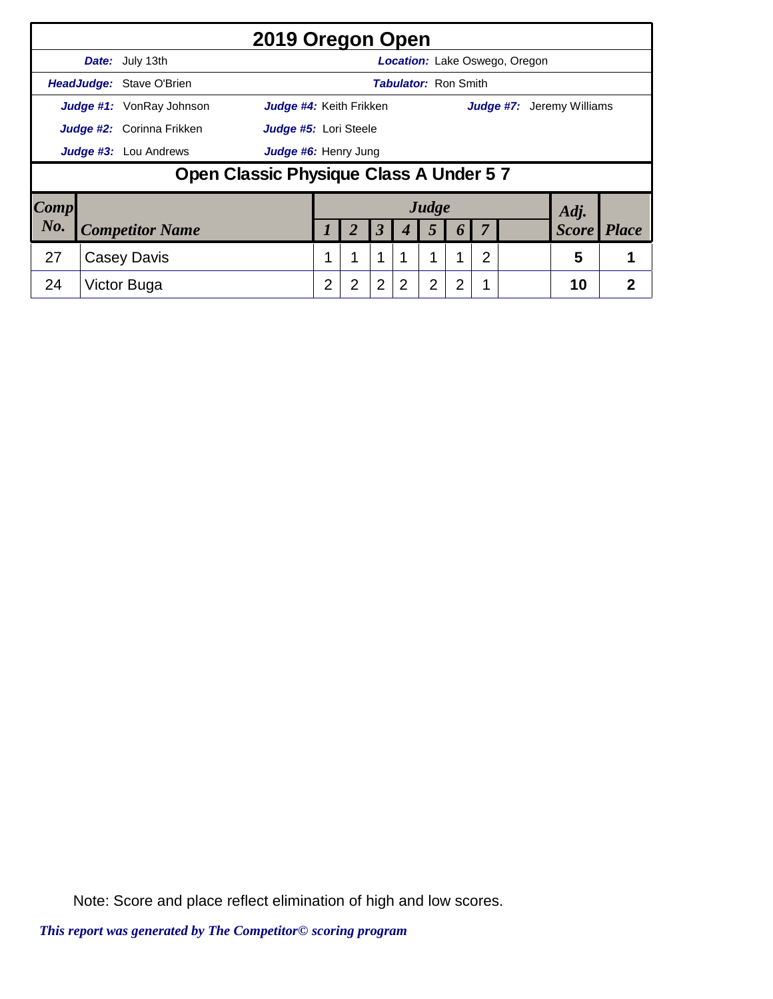|                        |                                         |                                  | 2019 Oregon Open        |                |                |                      |                             |       |                  |   |                               |                                  |                |
|------------------------|-----------------------------------------|----------------------------------|-------------------------|----------------|----------------|----------------------|-----------------------------|-------|------------------|---|-------------------------------|----------------------------------|----------------|
|                        |                                         | <b>Date:</b> July 13th           |                         |                |                |                      |                             |       |                  |   | Location: Lake Oswego, Oregon |                                  |                |
|                        |                                         | HeadJudge: Stave O'Brien         |                         |                |                |                      | <b>Tabulator: Ron Smith</b> |       |                  |   |                               |                                  |                |
|                        |                                         | <b>Judge #1:</b> VonRay Johnson  | Judge #4: Keith Frikken |                |                |                      |                             |       |                  |   |                               | <b>Judge #7:</b> Jeremy Williams |                |
|                        |                                         | <b>Judge #2:</b> Corinna Frikken | Judge #5: Lori Steele   |                |                |                      |                             |       |                  |   |                               |                                  |                |
|                        | Judge #3: Lou Andrews                   | Judge #6: Henry Jung             |                         |                |                |                      |                             |       |                  |   |                               |                                  |                |
|                        | Open Classic Physique Class A Under 5 7 |                                  |                         |                |                |                      |                             |       |                  |   |                               |                                  |                |
| $\lfloor Comp \rfloor$ |                                         |                                  |                         |                |                |                      |                             | Judge |                  |   |                               | Adj.                             |                |
| No.                    |                                         | <b>Competitor Name</b>           |                         |                |                | $\boldsymbol{\beta}$ | 4                           | 5     | $\boldsymbol{p}$ |   |                               | <b>Score</b>                     | <i>Place</i>   |
| 27                     |                                         | Casey Davis                      |                         | 1              | 1              | 1                    |                             |       |                  | 2 |                               | 5                                |                |
| 24                     |                                         | Victor Buga                      |                         | $\overline{2}$ | $\overline{2}$ | $\overline{2}$       | 2                           | 2     | 2                |   |                               | 10                               | $\overline{2}$ |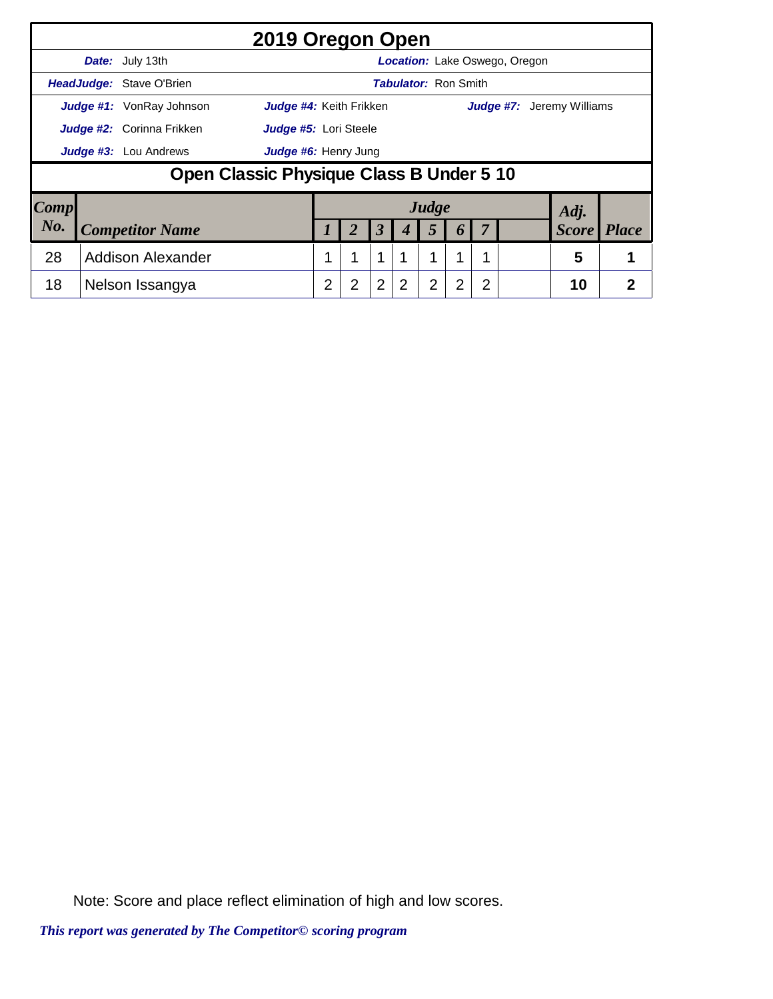|                        |                                  |                                          | 2019 Oregon Open               |   |   |                  |                             |                |                  |   |                                      |                                  |              |
|------------------------|----------------------------------|------------------------------------------|--------------------------------|---|---|------------------|-----------------------------|----------------|------------------|---|--------------------------------------|----------------------------------|--------------|
|                        |                                  | Date: July 13th                          |                                |   |   |                  |                             |                |                  |   | <b>Location:</b> Lake Oswego, Oregon |                                  |              |
|                        |                                  | <b>HeadJudge: Stave O'Brien</b>          |                                |   |   |                  | <b>Tabulator: Ron Smith</b> |                |                  |   |                                      |                                  |              |
|                        |                                  | <b>Judge #1:</b> VonRay Johnson          | <b>Judge #4:</b> Keith Frikken |   |   |                  |                             |                |                  |   |                                      | <b>Judge #7:</b> Jeremy Williams |              |
|                        | <b>Judge #2:</b> Corinna Frikken | Judge #5: Lori Steele                    |                                |   |   |                  |                             |                |                  |   |                                      |                                  |              |
|                        |                                  | <b>Judge #3:</b> Lou Andrews             | Judge #6: Henry Jung           |   |   |                  |                             |                |                  |   |                                      |                                  |              |
|                        |                                  | Open Classic Physique Class B Under 5 10 |                                |   |   |                  |                             |                |                  |   |                                      |                                  |              |
| $\lfloor Comp \rfloor$ |                                  |                                          |                                |   |   |                  |                             | Judge          |                  |   |                                      | Adj.                             |              |
| No.                    |                                  | <b>Competitor Name</b>                   |                                |   |   | $\boldsymbol{3}$ |                             | 5              | $\boldsymbol{b}$ |   |                                      | <b>Score</b>                     | <i>Place</i> |
| 28                     | <b>Addison Alexander</b>         |                                          |                                |   |   | $\mathbf 1$      |                             | 1              |                  |   |                                      | 5                                |              |
| 18                     |                                  | Nelson Issangya                          |                                | 2 | 2 | $\overline{2}$   | 2                           | $\overline{2}$ | $\overline{2}$   | 2 |                                      | 10                               | 2            |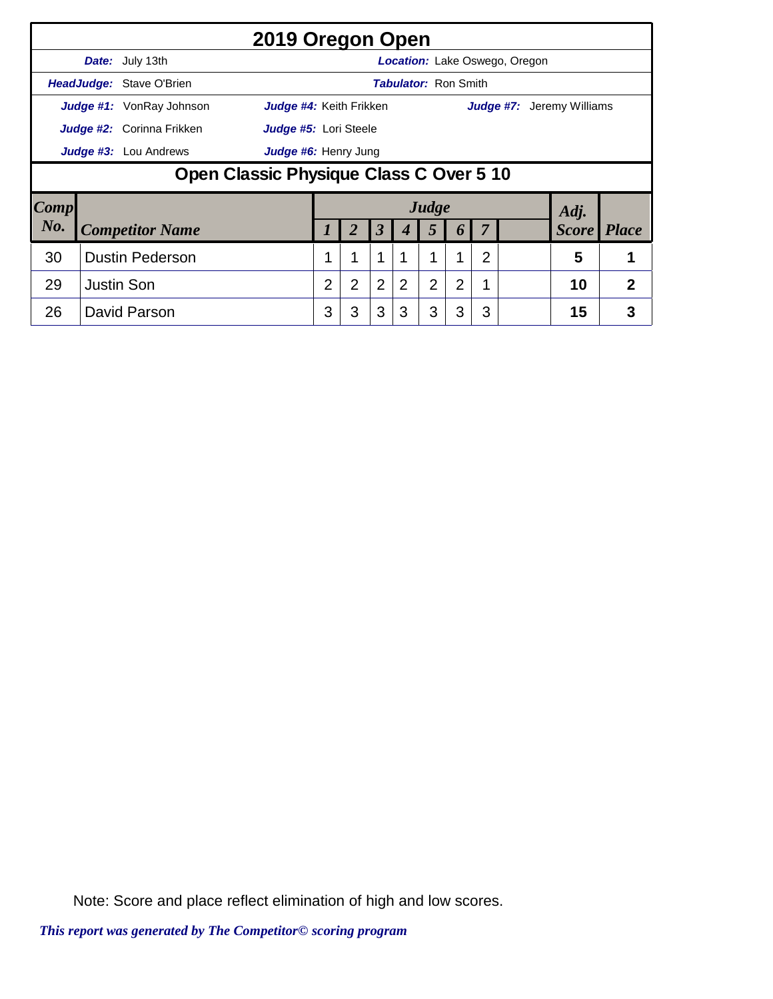|      |                                         |                                 | 2019 Oregon Open               |   |                |                |                             |                |   |   |                                      |                                  |                |
|------|-----------------------------------------|---------------------------------|--------------------------------|---|----------------|----------------|-----------------------------|----------------|---|---|--------------------------------------|----------------------------------|----------------|
|      |                                         | Date: July 13th                 |                                |   |                |                |                             |                |   |   | <b>Location:</b> Lake Oswego, Oregon |                                  |                |
|      |                                         | <b>HeadJudge: Stave O'Brien</b> |                                |   |                |                | <b>Tabulator: Ron Smith</b> |                |   |   |                                      |                                  |                |
|      |                                         | <b>Judge #1:</b> VonRay Johnson | <b>Judge #4: Keith Frikken</b> |   |                |                |                             |                |   |   |                                      | <b>Judge #7:</b> Jeremy Williams |                |
|      |                                         | Judge #2: Corinna Frikken       | Judge #5: Lori Steele          |   |                |                |                             |                |   |   |                                      |                                  |                |
|      | Judge #3: Lou Andrews                   | Judge #6: Henry Jung            |                                |   |                |                |                             |                |   |   |                                      |                                  |                |
|      | Open Classic Physique Class C Over 5 10 |                                 |                                |   |                |                |                             |                |   |   |                                      |                                  |                |
| Comp |                                         |                                 |                                |   |                |                |                             | Judge          |   |   |                                      | Adj.                             |                |
| No.  |                                         | <b>Competitor Name</b>          |                                |   | 2              | $\mathfrak{Z}$ | 4                           | 5              | 6 |   |                                      | <b>Score</b>                     | <i>Place</i>   |
| 30   | <b>Dustin Pederson</b>                  |                                 |                                |   | 4              | 1              |                             | 1              |   | 2 |                                      | 5                                |                |
| 29   | <b>Justin Son</b>                       |                                 |                                | 2 | $\overline{2}$ | 2              | $\overline{2}$              | $\overline{2}$ | 2 |   |                                      | 10                               | $\overline{2}$ |
| 26   |                                         | David Parson                    |                                | 3 | 3              | 3              | 3                           | 3              | 3 | 3 |                                      | 15                               | 3              |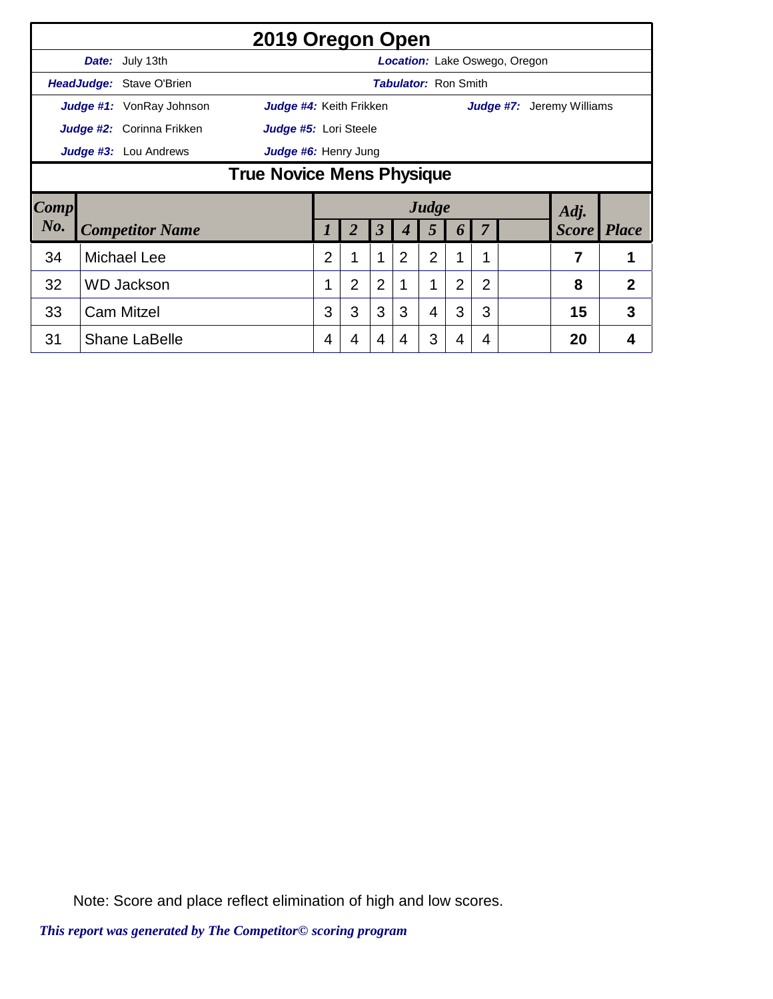|        |                                         |                                  | 2019 Oregon Open        |                                                                   |                |                |                |                |                             |                |                                      |                 |                |
|--------|-----------------------------------------|----------------------------------|-------------------------|-------------------------------------------------------------------|----------------|----------------|----------------|----------------|-----------------------------|----------------|--------------------------------------|-----------------|----------------|
|        |                                         | Date: July 13th                  |                         |                                                                   |                |                |                |                |                             |                | <b>Location:</b> Lake Oswego, Oregon |                 |                |
|        |                                         | HeadJudge: Stave O'Brien         |                         |                                                                   |                |                |                |                | <b>Tabulator: Ron Smith</b> |                |                                      |                 |                |
|        |                                         | <b>Judge #1:</b> VonRay Johnson  | Judge #4: Keith Frikken |                                                                   |                |                |                |                |                             |                | Judge #7:                            | Jeremy Williams |                |
|        |                                         | Judge #2: Corinna Frikken        | Judge #5: Lori Steele   |                                                                   |                |                |                |                |                             |                |                                      |                 |                |
|        |                                         | Judge #3: Lou Andrews            | Judge #6: Henry Jung    |                                                                   |                |                |                |                |                             |                |                                      |                 |                |
|        |                                         | <b>True Novice Mens Physique</b> |                         |                                                                   |                |                |                |                |                             |                |                                      |                 |                |
| Comp   |                                         |                                  |                         |                                                                   |                |                |                |                |                             |                |                                      | Adj.            |                |
| $N0$ . |                                         |                                  |                         | Judge<br><b>Competitor Name</b><br>$\boldsymbol{\beta}$<br>2<br>5 |                |                |                |                |                             |                |                                      |                 |                |
|        |                                         |                                  |                         |                                                                   |                |                | 4              |                | 6                           | $\overline{7}$ |                                      | <b>Score</b>    | <b>Place</b>   |
| 34     |                                         |                                  |                         | $\overline{2}$                                                    | 1              | $\mathbf{1}$   | $\overline{2}$ | $\overline{2}$ | 1                           | 1              |                                      | 7               | 1              |
| 32     | <b>Michael Lee</b><br><b>WD Jackson</b> |                                  |                         |                                                                   | $\overline{2}$ | $\overline{2}$ |                | 1              | 2                           | 2              |                                      | 8               | $\overline{2}$ |
| 33     |                                         | <b>Cam Mitzel</b>                |                         | 3                                                                 | 3              | 3              | 3              | 4              | 3                           | 3              |                                      | 15              | 3              |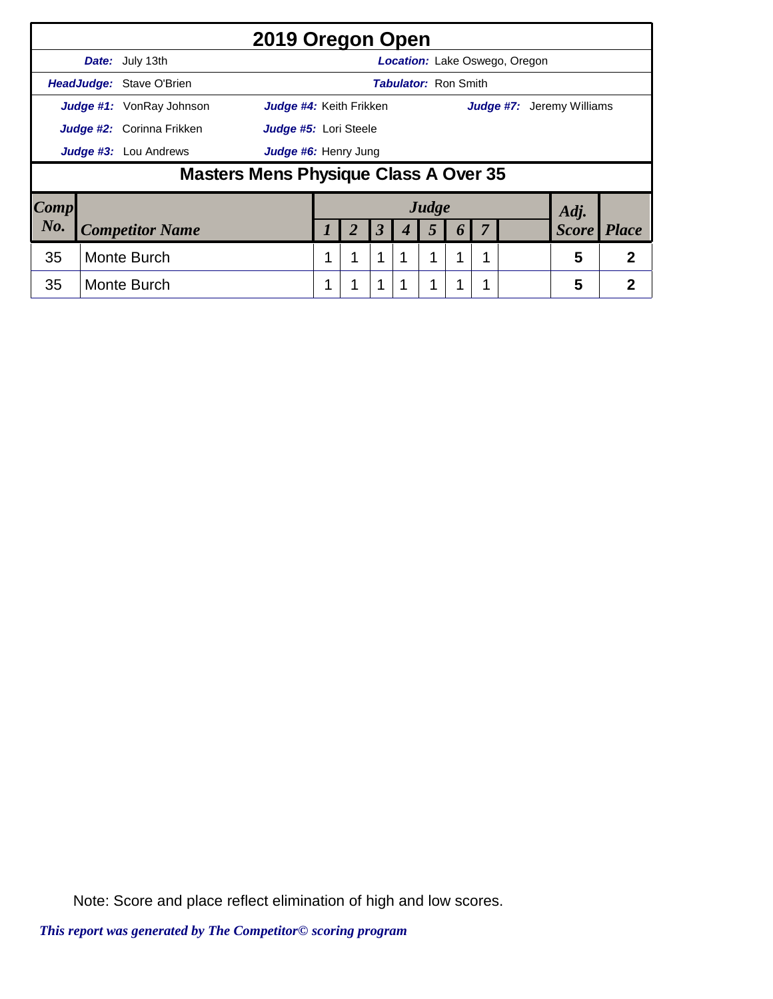|                     |                                  |                                       | 2019 Oregon Open        |   |                       |                      |                             |       |                  |                                  |              |              |
|---------------------|----------------------------------|---------------------------------------|-------------------------|---|-----------------------|----------------------|-----------------------------|-------|------------------|----------------------------------|--------------|--------------|
|                     |                                  | Date: July 13th                       |                         |   |                       |                      |                             |       |                  | Location: Lake Oswego, Oregon    |              |              |
|                     |                                  | HeadJudge: Stave O'Brien              |                         |   |                       |                      | <b>Tabulator: Ron Smith</b> |       |                  |                                  |              |              |
|                     |                                  | <b>Judge #1:</b> VonRay Johnson       | Judge #4: Keith Frikken |   |                       |                      |                             |       |                  | <b>Judge #7:</b> Jeremy Williams |              |              |
|                     | <b>Judge #2:</b> Corinna Frikken |                                       |                         |   | Judge #5: Lori Steele |                      |                             |       |                  |                                  |              |              |
|                     | Judge #3: Lou Andrews            |                                       |                         |   | Judge #6: Henry Jung  |                      |                             |       |                  |                                  |              |              |
|                     |                                  | Masters Mens Physique Class A Over 35 |                         |   |                       |                      |                             |       |                  |                                  |              |              |
| $\boldsymbol{Comp}$ |                                  |                                       |                         |   |                       |                      |                             | Judge |                  |                                  | Adj.         |              |
| No.                 | <b>Competitor Name</b>           |                                       |                         |   |                       | $\boldsymbol{\beta}$ |                             | 5     | $\boldsymbol{p}$ |                                  | <b>Score</b> | <i>Place</i> |
| 35                  | Monte Burch                      |                                       |                         |   |                       | 1                    | 1                           | 1     |                  |                                  | 5            | 2            |
| 35                  |                                  | Monte Burch                           |                         | 1 |                       | 1                    | 1                           | 1     |                  |                                  | 5            | 2            |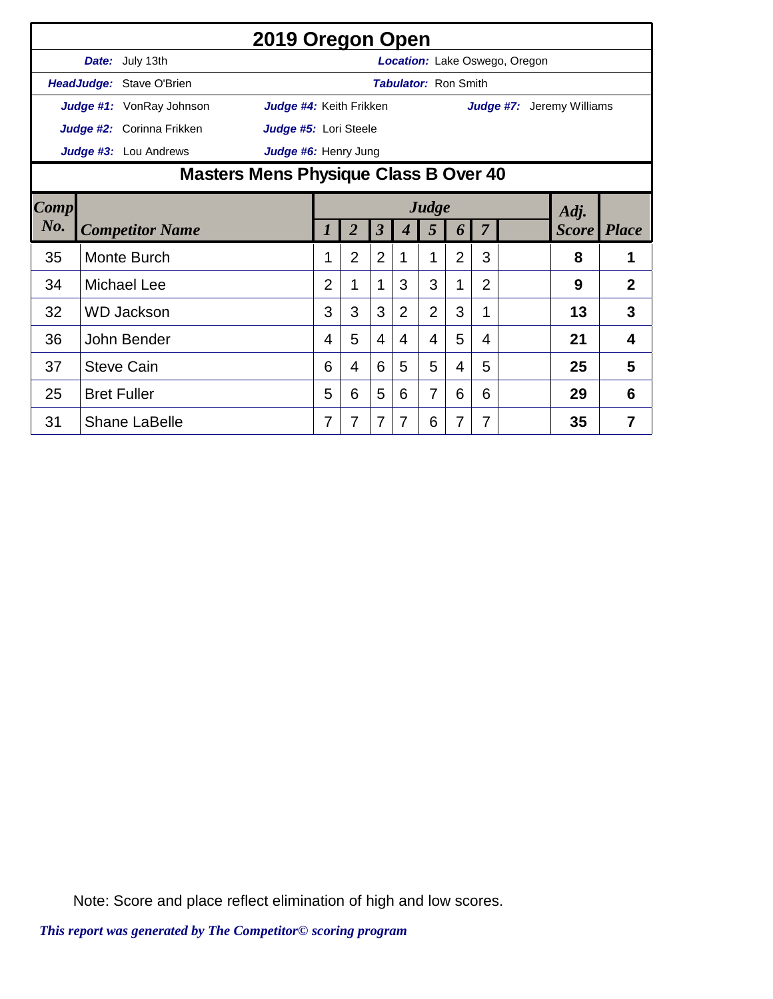|                | 2019 Oregon Open                                    |                                       |                |                         |                |                             |                |                |                                  |                    |                |
|----------------|-----------------------------------------------------|---------------------------------------|----------------|-------------------------|----------------|-----------------------------|----------------|----------------|----------------------------------|--------------------|----------------|
|                | Date: July 13th                                     |                                       |                |                         |                |                             |                |                | Location: Lake Oswego, Oregon    |                    |                |
|                | HeadJudge: Stave O'Brien                            |                                       |                |                         |                | <b>Tabulator: Ron Smith</b> |                |                |                                  |                    |                |
|                | Judge #1: VonRay Johnson<br>Judge #4: Keith Frikken |                                       |                |                         |                |                             |                |                | <b>Judge #7:</b> Jeremy Williams |                    |                |
|                | Judge #2: Corinna Frikken<br>Judge #5: Lori Steele  |                                       |                |                         |                |                             |                |                |                                  |                    |                |
|                | Judge #3: Lou Andrews<br>Judge #6: Henry Jung       |                                       |                |                         |                |                             |                |                |                                  |                    |                |
|                |                                                     | Masters Mens Physique Class B Over 40 |                |                         |                |                             |                |                |                                  |                    |                |
| $\boxed{Comp}$ |                                                     | Judge<br>Adj.                         |                |                         |                |                             |                |                |                                  |                    |                |
| No.            | <b>Competitor Name</b>                              | 7                                     | $\overline{2}$ | $\overline{\mathbf{3}}$ | 4              | 5                           | 6              | $\overline{7}$ |                                  | <b>Score</b> Place |                |
| 35             | Monte Burch                                         |                                       | $\overline{2}$ | $\overline{2}$          | 1              | 1                           | $\overline{2}$ | 3              |                                  | 8                  | 1              |
| 34             | <b>Michael Lee</b>                                  | $\overline{2}$                        | 1              | 1                       | 3              | 3                           | 1              | $\overline{2}$ |                                  | 9                  | $\overline{2}$ |
| 32             | <b>WD Jackson</b>                                   | 3                                     | 3              | 3                       | $\overline{2}$ | $\overline{2}$              | 3              | 1              |                                  | 13                 | 3              |
| 36             | John Bender                                         | 4                                     | 5              | $\overline{4}$          | 4              | 4                           | 5              | 4              |                                  | 21                 | 4              |
| 37             | <b>Steve Cain</b>                                   | 6                                     | 4              | 6                       | 5              | 5                           | 4              | 5              |                                  | 25                 | 5              |
| 25             | <b>Bret Fuller</b>                                  | 5                                     | 6              | 5                       | 6              | 7                           | 6              | 6              |                                  | 29                 | 6              |
| 31             | <b>Shane LaBelle</b>                                | 7                                     | 7              | 7                       | 7              | 6                           | 7              | 7              |                                  | 35                 | 7              |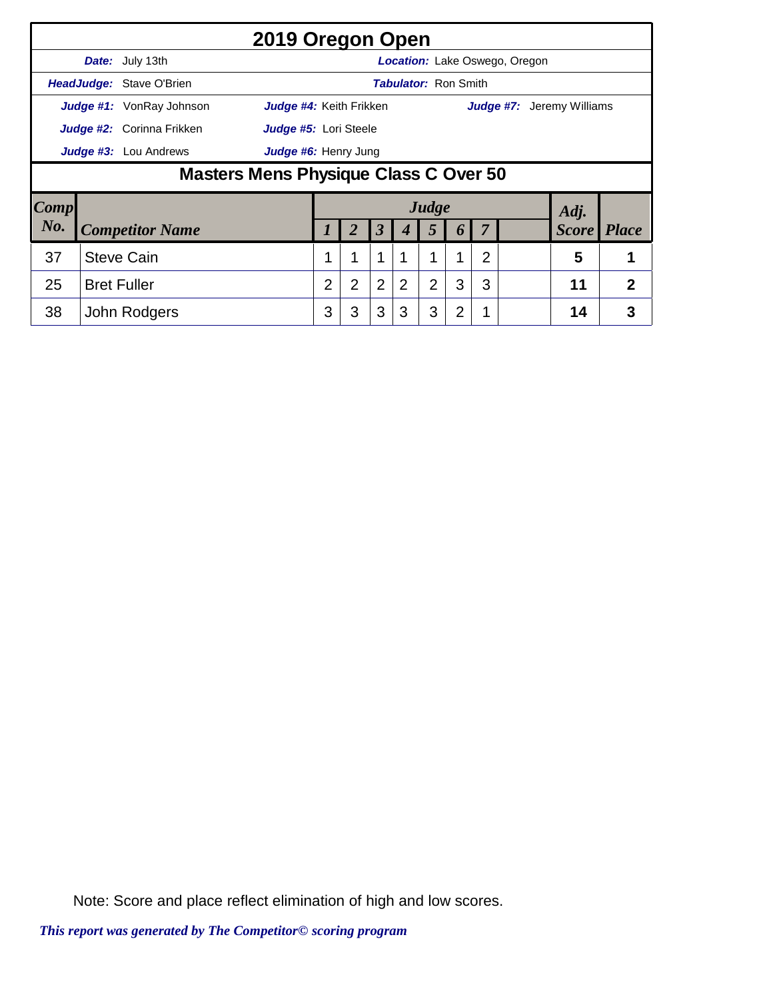|                        |                              |                                       | 2019 Oregon Open        |   |                      |                      |                             |                |                |   |                                      |              |                |
|------------------------|------------------------------|---------------------------------------|-------------------------|---|----------------------|----------------------|-----------------------------|----------------|----------------|---|--------------------------------------|--------------|----------------|
|                        |                              | Date: July 13th                       |                         |   |                      |                      |                             |                |                |   | <b>Location:</b> Lake Oswego, Oregon |              |                |
|                        |                              | <b>HeadJudge: Stave O'Brien</b>       |                         |   |                      |                      | <b>Tabulator: Ron Smith</b> |                |                |   |                                      |              |                |
|                        |                              | <b>Judge #1:</b> VonRay Johnson       | Judge #4: Keith Frikken |   |                      |                      |                             |                |                |   | <b>Judge #7:</b> Jeremy Williams     |              |                |
|                        |                              | Judge #2: Corinna Frikken             | Judge #5: Lori Steele   |   |                      |                      |                             |                |                |   |                                      |              |                |
|                        | <b>Judge #3:</b> Lou Andrews |                                       |                         |   | Judge #6: Henry Jung |                      |                             |                |                |   |                                      |              |                |
|                        |                              | Masters Mens Physique Class C Over 50 |                         |   |                      |                      |                             |                |                |   |                                      |              |                |
| $\lfloor Comp \rfloor$ |                              |                                       |                         |   |                      |                      |                             | Judge          |                |   |                                      | Adj.         |                |
| No.                    |                              | <b>Competitor Name</b>                |                         |   |                      | $\boldsymbol{\beta}$ | 4                           | 5              | 6              |   |                                      | <b>Score</b> | <b>Place</b>   |
| 37                     | <b>Steve Cain</b>            |                                       |                         |   | 1                    | 1                    |                             | 1              | 1              | 2 |                                      | 5            |                |
| 25                     | <b>Bret Fuller</b>           |                                       |                         | 2 | $\overline{2}$       | $\overline{2}$       | 2                           | $\overline{2}$ | 3              | 3 |                                      | 11           | $\overline{2}$ |
| 38                     |                              | John Rodgers                          |                         | 3 | 3                    | 3                    | 3                           | 3              | $\overline{2}$ |   |                                      | 14           | 3              |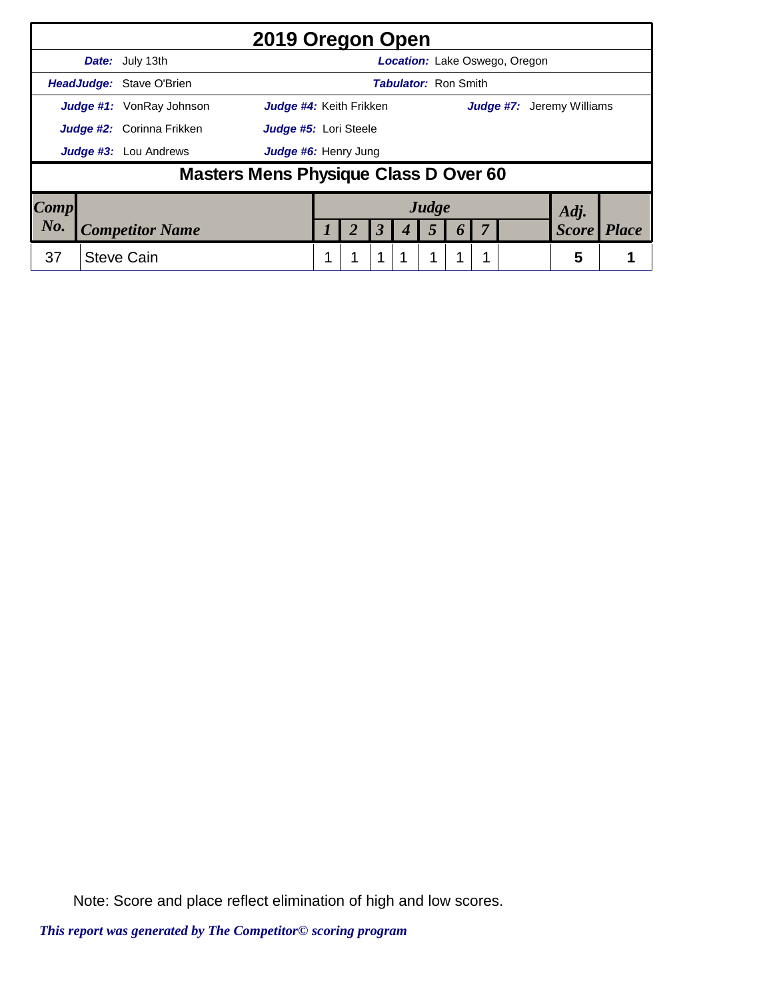|                 |                                  | 2019 Oregon Open                                                  |  |   |                       |             |   |                             |  |                                      |              |  |
|-----------------|----------------------------------|-------------------------------------------------------------------|--|---|-----------------------|-------------|---|-----------------------------|--|--------------------------------------|--------------|--|
|                 |                                  | <b>Date:</b> July 13th                                            |  |   |                       |             |   |                             |  | <b>Location:</b> Lake Oswego, Oregon |              |  |
|                 |                                  | HeadJudge: Stave O'Brien                                          |  |   |                       |             |   | <b>Tabulator: Ron Smith</b> |  |                                      |              |  |
|                 |                                  | <b>Judge #1:</b> VonRay Johnson<br><b>Judge #4:</b> Keith Frikken |  |   |                       |             |   |                             |  | <b>Judge #7:</b> Jeremy Williams     |              |  |
|                 | <b>Judge #2:</b> Corinna Frikken |                                                                   |  |   | Judge #5: Lori Steele |             |   |                             |  |                                      |              |  |
|                 | Judge #3: Lou Andrews            | Judge #6: Henry Jung                                              |  |   |                       |             |   |                             |  |                                      |              |  |
|                 |                                  | Masters Mens Physique Class D Over 60                             |  |   |                       |             |   |                             |  |                                      |              |  |
| $\textbf{Comp}$ |                                  |                                                                   |  |   |                       |             |   | Judge                       |  |                                      | Adj.         |  |
| No.             | <b>Competitor Name</b>           |                                                                   |  |   | 3                     |             | 5 |                             |  | <b>Score</b>                         | <b>Place</b> |  |
| 37              |                                  | <b>Steve Cain</b>                                                 |  | 1 |                       | $\mathbf 1$ | 1 | 1                           |  |                                      | 5            |  |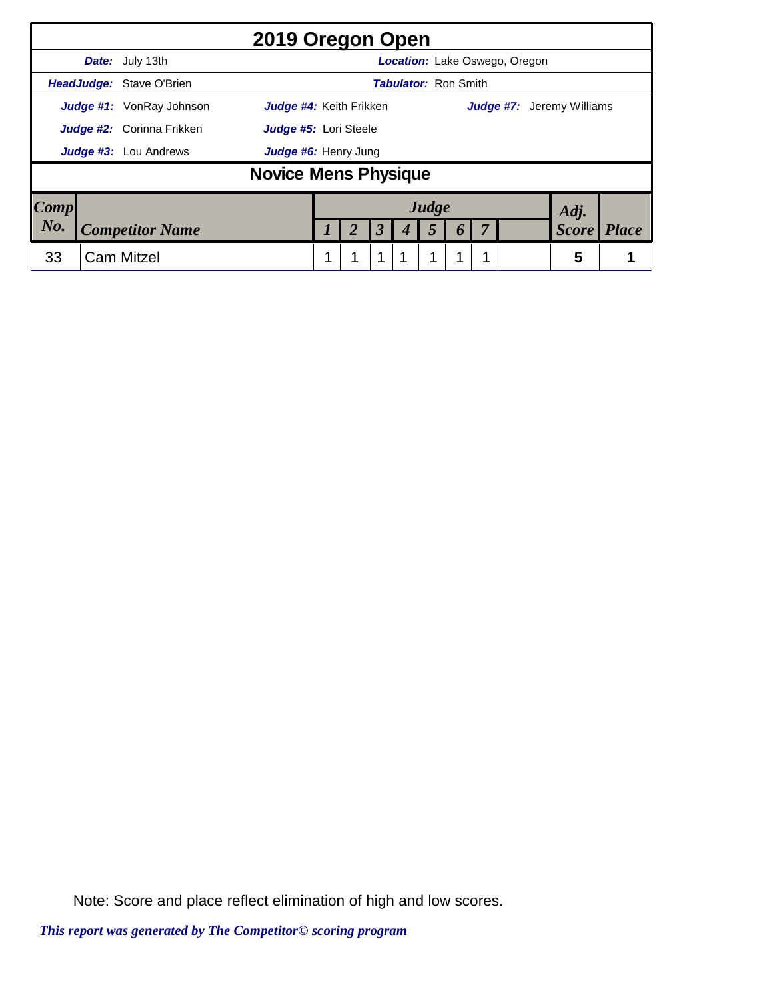|                                                           |  |                                 | 2019 Oregon Open               |  |  |  |  |                             |  |  |                                      |                                  |              |
|-----------------------------------------------------------|--|---------------------------------|--------------------------------|--|--|--|--|-----------------------------|--|--|--------------------------------------|----------------------------------|--------------|
|                                                           |  | <b>Date:</b> July 13th          |                                |  |  |  |  |                             |  |  | <b>Location:</b> Lake Oswego, Oregon |                                  |              |
|                                                           |  | <b>HeadJudge: Stave O'Brien</b> |                                |  |  |  |  | <b>Tabulator: Ron Smith</b> |  |  |                                      |                                  |              |
|                                                           |  | Judge #1: VonRay Johnson        | <b>Judge #4:</b> Keith Frikken |  |  |  |  |                             |  |  |                                      | <b>Judge #7:</b> Jeremy Williams |              |
| <b>Judge #2:</b> Corinna Frikken<br>Judge #5: Lori Steele |  |                                 |                                |  |  |  |  |                             |  |  |                                      |                                  |              |
|                                                           |  | <b>Judge #3:</b> Lou Andrews    | Judge #6: Henry Jung           |  |  |  |  |                             |  |  |                                      |                                  |              |
|                                                           |  |                                 | <b>Novice Mens Physique</b>    |  |  |  |  |                             |  |  |                                      |                                  |              |
| $\boldsymbol{Comp}$                                       |  |                                 |                                |  |  |  |  | Judge                       |  |  |                                      | Adj.                             |              |
| No.                                                       |  | <b>Competitor Name</b>          |                                |  |  |  |  |                             |  |  |                                      | <b>Score</b>                     | <i>Place</i> |
| 33                                                        |  | <b>Cam Mitzel</b>               |                                |  |  |  |  |                             |  |  |                                      | 5                                |              |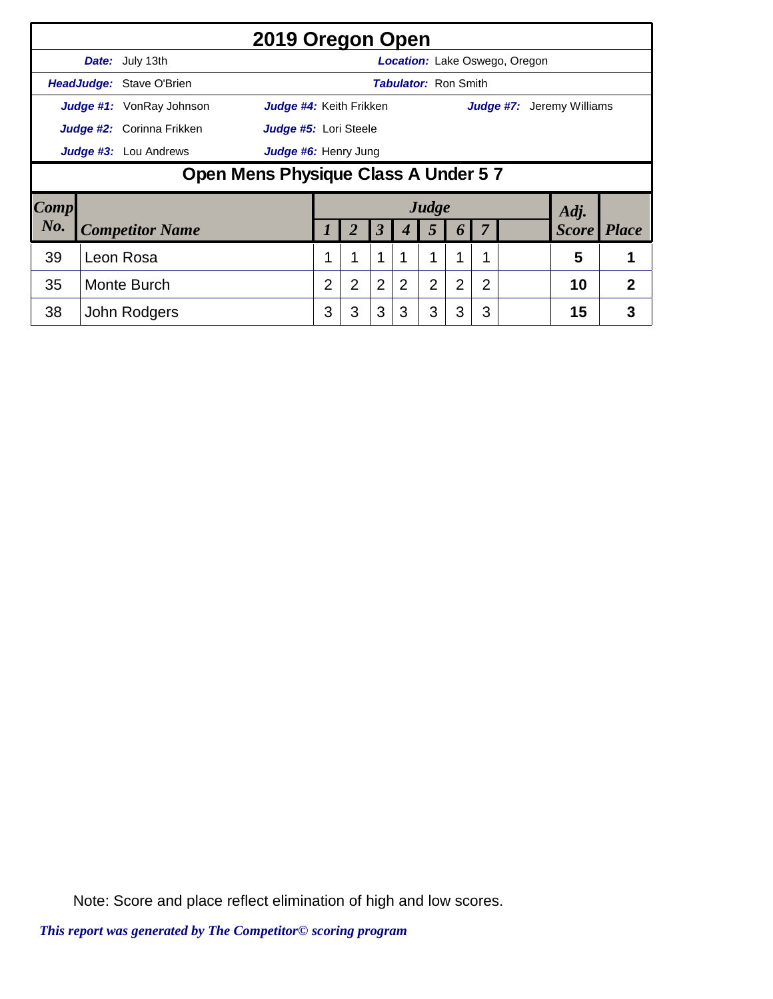|      |                              |                                     | 2019 Oregon Open        |                |                |                      |                             |                |                |                |                                      |                                  |                |
|------|------------------------------|-------------------------------------|-------------------------|----------------|----------------|----------------------|-----------------------------|----------------|----------------|----------------|--------------------------------------|----------------------------------|----------------|
|      |                              | Date: July 13th                     |                         |                |                |                      |                             |                |                |                | <b>Location:</b> Lake Oswego, Oregon |                                  |                |
|      |                              | <b>HeadJudge:</b> Stave O'Brien     |                         |                |                |                      | <b>Tabulator: Ron Smith</b> |                |                |                |                                      |                                  |                |
|      |                              | <b>Judge #1:</b> VonRay Johnson     | Judge #4: Keith Frikken |                |                |                      |                             |                |                |                |                                      | <b>Judge #7:</b> Jeremy Williams |                |
|      |                              | Judge #2: Corinna Frikken           | Judge #5: Lori Steele   |                |                |                      |                             |                |                |                |                                      |                                  |                |
|      | <b>Judge #3:</b> Lou Andrews | Judge #6: Henry Jung                |                         |                |                |                      |                             |                |                |                |                                      |                                  |                |
|      |                              | Open Mens Physique Class A Under 57 |                         |                |                |                      |                             |                |                |                |                                      |                                  |                |
| Comp |                              |                                     |                         |                |                |                      |                             | Judge          |                |                |                                      | Adj.                             |                |
| No.  |                              | <b>Competitor Name</b>              |                         |                | 2              | $\boldsymbol{\beta}$ | 4                           | 5              | 6              |                |                                      | <b>Score</b>                     | <i>Place</i>   |
| 39   | Leon Rosa                    |                                     |                         |                | 1              |                      |                             |                |                |                |                                      | 5                                |                |
| 35   | Monte Burch                  |                                     |                         | $\overline{2}$ | $\overline{2}$ | $\overline{2}$       | 2                           | $\overline{2}$ | $\overline{2}$ | $\overline{2}$ |                                      | 10                               | $\overline{2}$ |
| 38   |                              | John Rodgers                        |                         | 3              | 3              | 3                    | 3                           | 3              | 3              | 3              |                                      | 15                               | 3              |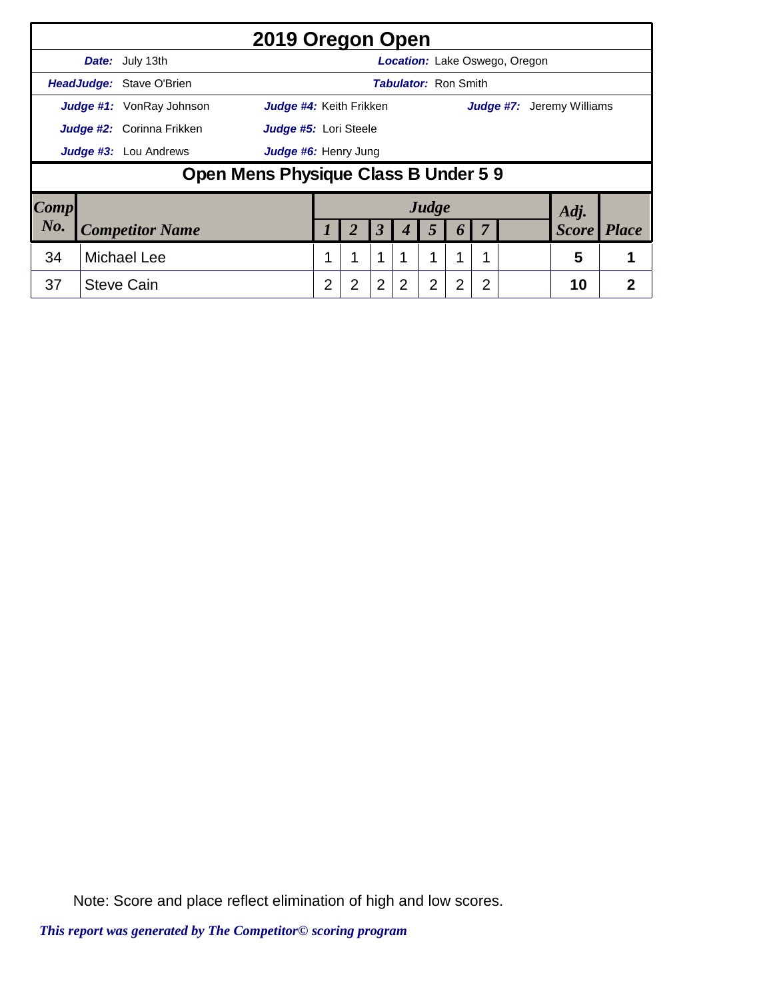|                        |                    |                                  | 2019 Oregon Open                     |                |                |                      |                             |       |                  |   |                               |                                  |                |
|------------------------|--------------------|----------------------------------|--------------------------------------|----------------|----------------|----------------------|-----------------------------|-------|------------------|---|-------------------------------|----------------------------------|----------------|
|                        |                    | <b>Date:</b> July 13th           |                                      |                |                |                      |                             |       |                  |   | Location: Lake Oswego, Oregon |                                  |                |
|                        |                    | HeadJudge: Stave O'Brien         |                                      |                |                |                      | <b>Tabulator: Ron Smith</b> |       |                  |   |                               |                                  |                |
|                        |                    | <b>Judge #1:</b> VonRay Johnson  | Judge #4: Keith Frikken              |                |                |                      |                             |       |                  |   |                               | <b>Judge #7:</b> Jeremy Williams |                |
|                        |                    | <b>Judge #2:</b> Corinna Frikken | Judge #5: Lori Steele                |                |                |                      |                             |       |                  |   |                               |                                  |                |
|                        |                    | Judge #3: Lou Andrews            | Judge #6: Henry Jung                 |                |                |                      |                             |       |                  |   |                               |                                  |                |
|                        |                    |                                  | Open Mens Physique Class B Under 5 9 |                |                |                      |                             |       |                  |   |                               |                                  |                |
| $\lfloor Comp \rfloor$ |                    |                                  |                                      |                |                |                      |                             | Judge |                  |   |                               | Adj.                             |                |
| No.                    |                    | <b>Competitor Name</b>           |                                      |                |                | $\boldsymbol{\beta}$ | 4                           | 5     | $\boldsymbol{0}$ |   |                               | <b>Score</b>                     | <i>Place</i>   |
| 34                     | <b>Michael Lee</b> |                                  |                                      |                | 1              | 1                    |                             | 1     | 1                |   |                               | 5                                |                |
| 37                     |                    | <b>Steve Cain</b>                |                                      | $\overline{2}$ | $\overline{2}$ | $\overline{2}$       | 2                           | 2     | $\overline{2}$   | 2 |                               | 10                               | $\overline{2}$ |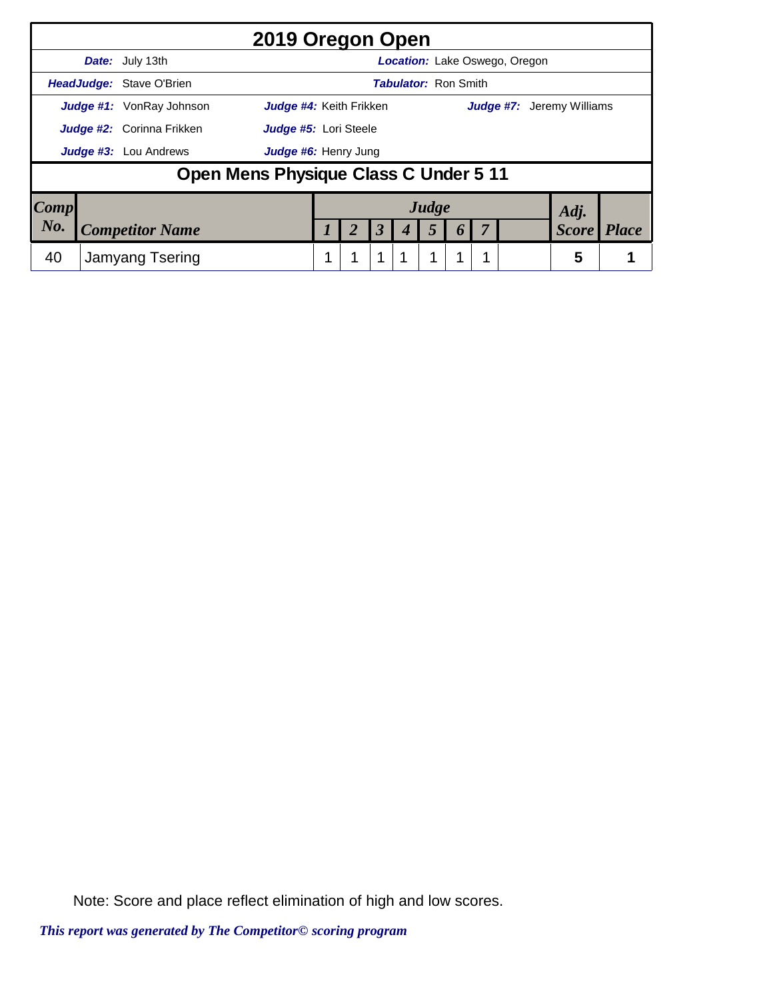|           | 2019 Oregon Open                                                  |   |                      |   |                             |  |                                      |              |              |
|-----------|-------------------------------------------------------------------|---|----------------------|---|-----------------------------|--|--------------------------------------|--------------|--------------|
|           | <b>Date:</b> July 13th                                            |   |                      |   |                             |  | <b>Location:</b> Lake Oswego, Oregon |              |              |
|           | HeadJudge: Stave O'Brien                                          |   |                      |   | <b>Tabulator: Ron Smith</b> |  |                                      |              |              |
|           | <b>Judge #1:</b> VonRay Johnson<br><b>Judge #4:</b> Keith Frikken |   |                      |   |                             |  | <b>Judge #7:</b> Jeremy Williams     |              |              |
|           | Judge #2: Corinna Frikken<br>Judge #5: Lori Steele                |   |                      |   |                             |  |                                      |              |              |
|           | <b>Judge #3:</b> Lou Andrews<br>Judge #6: Henry Jung              |   |                      |   |                             |  |                                      |              |              |
|           | Open Mens Physique Class C Under 5 11                             |   |                      |   |                             |  |                                      |              |              |
| Comp      |                                                                   |   |                      |   | Judge                       |  |                                      | Adj.         |              |
| $N_{0}$ . | <b>Competitor Name</b>                                            |   | $\boldsymbol{\beta}$ |   | 5                           |  |                                      | <b>Score</b> | <b>Place</b> |
| 40        | Jamyang Tsering                                                   | 1 | $\mathbf{1}$         | 1 | 4                           |  |                                      | 5            |              |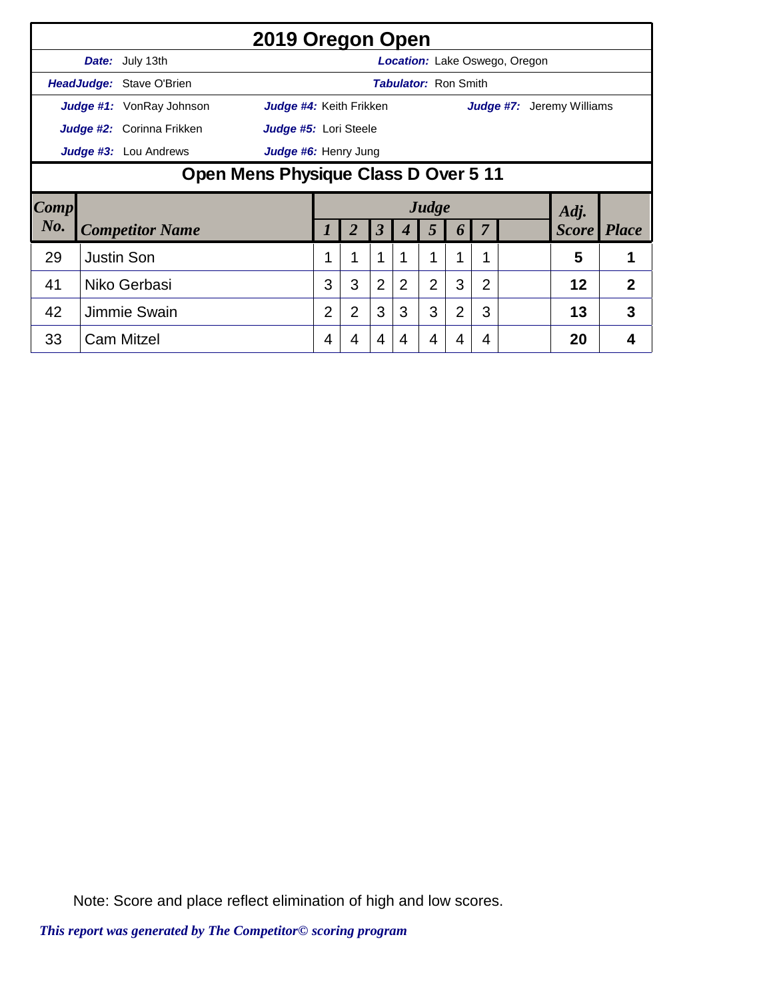|             |                                      |                              | 2019 Oregon Open        |          |                |                      |   |                |                             |   |                                      |                           |                |
|-------------|--------------------------------------|------------------------------|-------------------------|----------|----------------|----------------------|---|----------------|-----------------------------|---|--------------------------------------|---------------------------|----------------|
|             |                                      | <b>Date:</b> July 13th       |                         |          |                |                      |   |                |                             |   | <b>Location:</b> Lake Oswego, Oregon |                           |                |
|             |                                      | HeadJudge: Stave O'Brien     |                         |          |                |                      |   |                | <b>Tabulator: Ron Smith</b> |   |                                      |                           |                |
|             |                                      | Judge #1: VonRay Johnson     | Judge #4: Keith Frikken |          |                |                      |   |                |                             |   |                                      | Judge #7: Jeremy Williams |                |
|             |                                      | Judge #2: Corinna Frikken    | Judge #5: Lori Steele   |          |                |                      |   |                |                             |   |                                      |                           |                |
|             |                                      | <b>Judge #3:</b> Lou Andrews | Judge #6: Henry Jung    |          |                |                      |   |                |                             |   |                                      |                           |                |
|             | Open Mens Physique Class D Over 5 11 |                              |                         |          |                |                      |   |                |                             |   |                                      |                           |                |
| <b>Comp</b> |                                      |                              |                         |          |                |                      |   | Judge          |                             |   |                                      | Adj.                      |                |
| No.         |                                      | <b>Competitor Name</b>       |                         | $\prime$ | 2              | $\boldsymbol{\beta}$ | 4 | 5              | 6                           |   |                                      | <b>Score</b>              | <b>Place</b>   |
| 29          |                                      | <b>Justin Son</b>            |                         |          | 1              | 1                    |   | 1              |                             | 1 |                                      | 5                         | 1              |
| 41          |                                      | Niko Gerbasi                 |                         | 3        | 3              | $\overline{2}$       | 2 | $\overline{2}$ | 3                           | 2 |                                      | 12                        | $\overline{2}$ |
| 42          |                                      | Jimmie Swain                 |                         | 2        | $\overline{2}$ | 3                    | 3 | 3              | $\overline{2}$              | 3 |                                      | 13                        | 3              |
| 33          |                                      | <b>Cam Mitzel</b>            |                         | 4        | 4              | 4                    | 4 | 4              | 4                           | 4 |                                      | 20                        | 4              |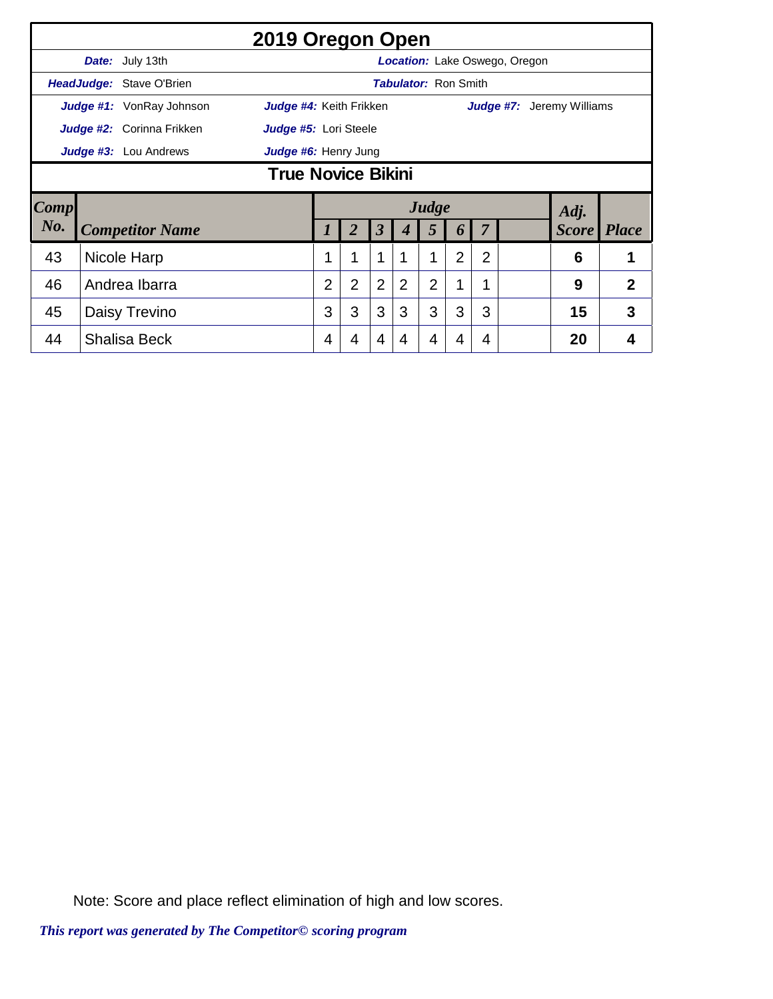|                                                            | 2019 Oregon Open          |                                                    |                                      |                             |                      |   |                |                |                |  |                                  |                |  |  |  |
|------------------------------------------------------------|---------------------------|----------------------------------------------------|--------------------------------------|-----------------------------|----------------------|---|----------------|----------------|----------------|--|----------------------------------|----------------|--|--|--|
|                                                            |                           | Date: July 13th                                    | <b>Location:</b> Lake Oswego, Oregon |                             |                      |   |                |                |                |  |                                  |                |  |  |  |
| <b>HeadJudge: Stave O'Brien</b>                            |                           |                                                    |                                      | <b>Tabulator: Ron Smith</b> |                      |   |                |                |                |  |                                  |                |  |  |  |
| <b>Judge #1:</b> VonRay Johnson<br>Judge #4: Keith Frikken |                           |                                                    |                                      |                             |                      |   |                |                |                |  | <b>Judge #7:</b> Jeremy Williams |                |  |  |  |
|                                                            |                           | Judge #2: Corinna Frikken<br>Judge #5: Lori Steele |                                      |                             |                      |   |                |                |                |  |                                  |                |  |  |  |
|                                                            |                           | Judge #3: Lou Andrews                              | Judge #6: Henry Jung                 |                             |                      |   |                |                |                |  |                                  |                |  |  |  |
|                                                            | <b>True Novice Bikini</b> |                                                    |                                      |                             |                      |   |                |                |                |  |                                  |                |  |  |  |
| Comp                                                       |                           |                                                    | Judge                                |                             |                      |   |                |                | Adj.           |  |                                  |                |  |  |  |
|                                                            |                           |                                                    |                                      |                             |                      |   |                |                |                |  |                                  |                |  |  |  |
| No.                                                        |                           | <b>Competitor Name</b>                             |                                      | $\overline{2}$              | $\boldsymbol{\beta}$ |   | 5              | 6              | 7              |  | <b>Score</b>                     | <b>Place</b>   |  |  |  |
| 43                                                         |                           | Nicole Harp                                        |                                      | 1                           | 1                    |   | 1              | $\overline{2}$ | $\overline{2}$ |  | 6                                |                |  |  |  |
| 46                                                         |                           | Andrea Ibarra                                      | $\overline{2}$                       | $\overline{2}$              | $\overline{2}$       | 2 | $\overline{2}$ | 1              | 1              |  | 9                                | $\overline{2}$ |  |  |  |
| 45                                                         |                           | Daisy Trevino                                      | 3                                    | 3                           | 3                    | 3 | 3              | 3              | 3              |  | 15                               | 3              |  |  |  |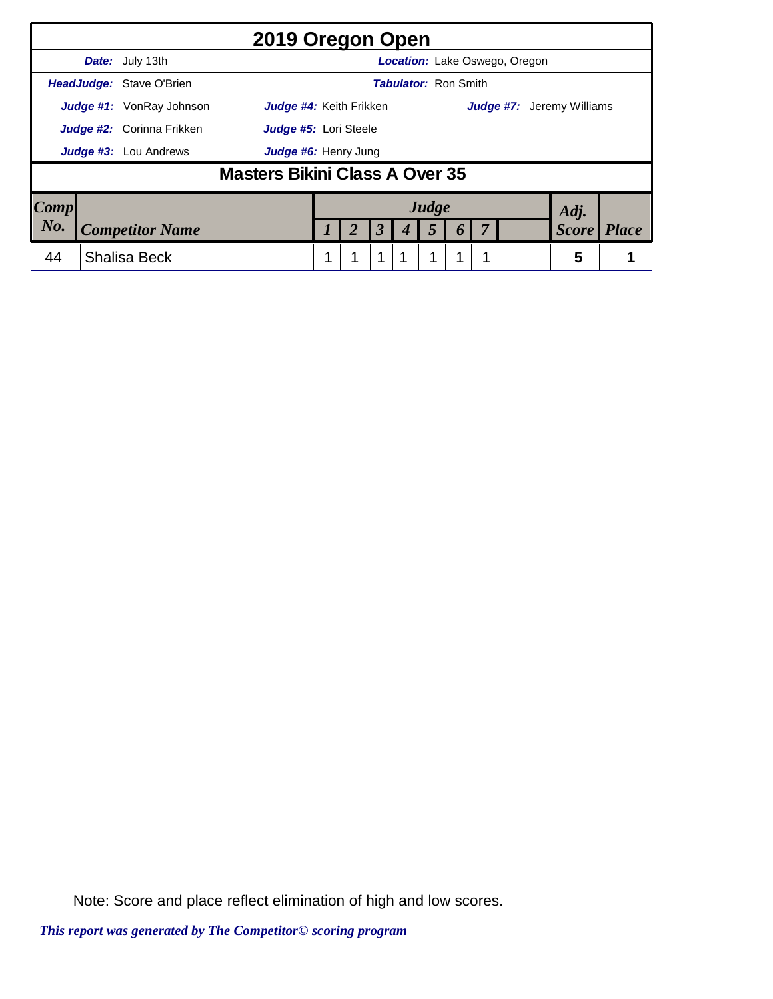|                                                                | 2019 Oregon Open |                                  |                                |  |               |  |                      |  |   |                  |  |  |                                  |              |  |
|----------------------------------------------------------------|------------------|----------------------------------|--------------------------------|--|---------------|--|----------------------|--|---|------------------|--|--|----------------------------------|--------------|--|
| <b>Location:</b> Lake Oswego, Oregon<br><b>Date:</b> July 13th |                  |                                  |                                |  |               |  |                      |  |   |                  |  |  |                                  |              |  |
| <b>Tabulator: Ron Smith</b><br><b>HeadJudge: Stave O'Brien</b> |                  |                                  |                                |  |               |  |                      |  |   |                  |  |  |                                  |              |  |
| Judge #4: Keith Frikken<br><b>Judge #1:</b> VonRay Johnson     |                  |                                  |                                |  |               |  |                      |  |   |                  |  |  | <b>Judge #7:</b> Jeremy Williams |              |  |
|                                                                |                  | <b>Judge #2:</b> Corinna Frikken | Judge #5: Lori Steele          |  |               |  |                      |  |   |                  |  |  |                                  |              |  |
|                                                                |                  | <b>Judge #3:</b> Lou Andrews     | Judge #6: Henry Jung           |  |               |  |                      |  |   |                  |  |  |                                  |              |  |
|                                                                |                  |                                  | Masters Bikini Class A Over 35 |  |               |  |                      |  |   |                  |  |  |                                  |              |  |
| Comp                                                           |                  |                                  |                                |  | Judge<br>Adj. |  |                      |  |   |                  |  |  |                                  |              |  |
| No.                                                            |                  | <b>Competitor Name</b>           |                                |  |               |  | $\boldsymbol{\beta}$ |  | 5 | $\boldsymbol{0}$ |  |  | <b>Score</b>                     | <b>Place</b> |  |
| 44                                                             |                  | <b>Shalisa Beck</b>              |                                |  |               |  | 1                    |  | 1 |                  |  |  | 5                                |              |  |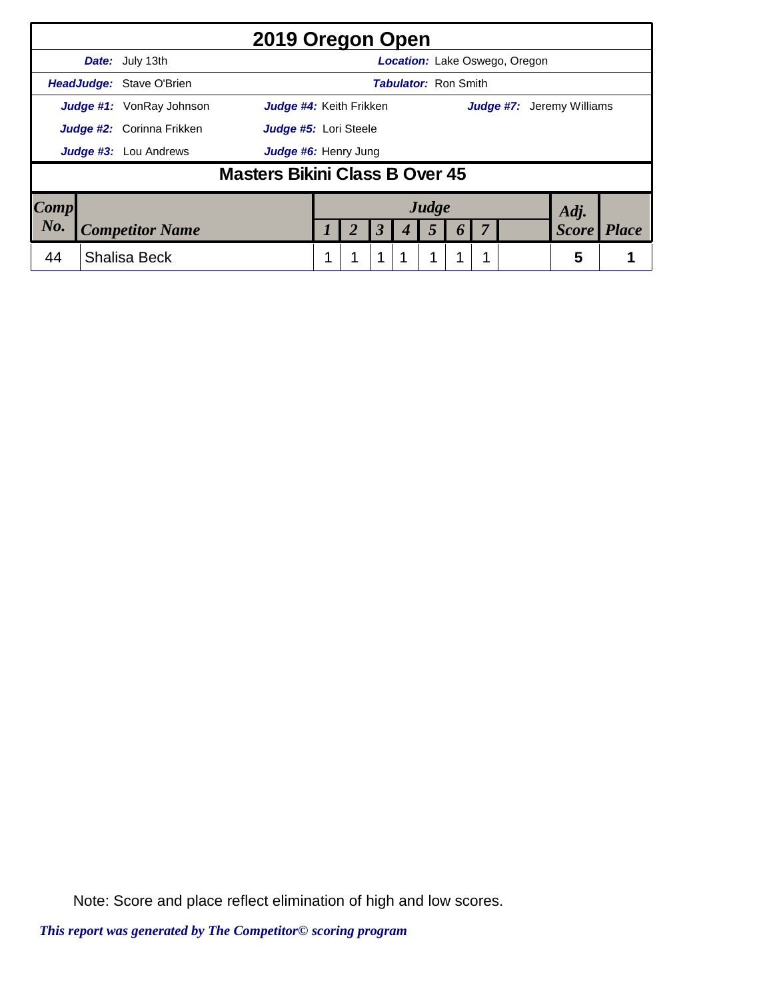|                                                                | 2019 Oregon Open |                                  |                                |  |  |                      |  |       |                       |  |  |                                  |              |  |
|----------------------------------------------------------------|------------------|----------------------------------|--------------------------------|--|--|----------------------|--|-------|-----------------------|--|--|----------------------------------|--------------|--|
| <b>Date:</b> July 13th<br><b>Location:</b> Lake Oswego, Oregon |                  |                                  |                                |  |  |                      |  |       |                       |  |  |                                  |              |  |
| HeadJudge: Stave O'Brien<br><b>Tabulator: Ron Smith</b>        |                  |                                  |                                |  |  |                      |  |       |                       |  |  |                                  |              |  |
| <b>Judge #1:</b> VonRay Johnson<br>Judge #4: Keith Frikken     |                  |                                  |                                |  |  |                      |  |       |                       |  |  | <b>Judge #7:</b> Jeremy Williams |              |  |
|                                                                |                  | <b>Judge #2:</b> Corinna Frikken | Judge #5: Lori Steele          |  |  |                      |  |       |                       |  |  |                                  |              |  |
|                                                                |                  | <b>Judge #3:</b> Lou Andrews     | Judge #6: Henry Jung           |  |  |                      |  |       |                       |  |  |                                  |              |  |
|                                                                |                  |                                  | Masters Bikini Class B Over 45 |  |  |                      |  |       |                       |  |  |                                  |              |  |
| Comp                                                           |                  |                                  |                                |  |  |                      |  | Judge |                       |  |  | Adj.                             |              |  |
| No.                                                            |                  | <b>Competitor Name</b>           |                                |  |  | $\boldsymbol{\beta}$ |  | 5     | $\boldsymbol{\theta}$ |  |  | <b>Score</b>                     | <b>Place</b> |  |
| 44                                                             |                  | <b>Shalisa Beck</b>              |                                |  |  | 1                    |  | 1     |                       |  |  | 5                                |              |  |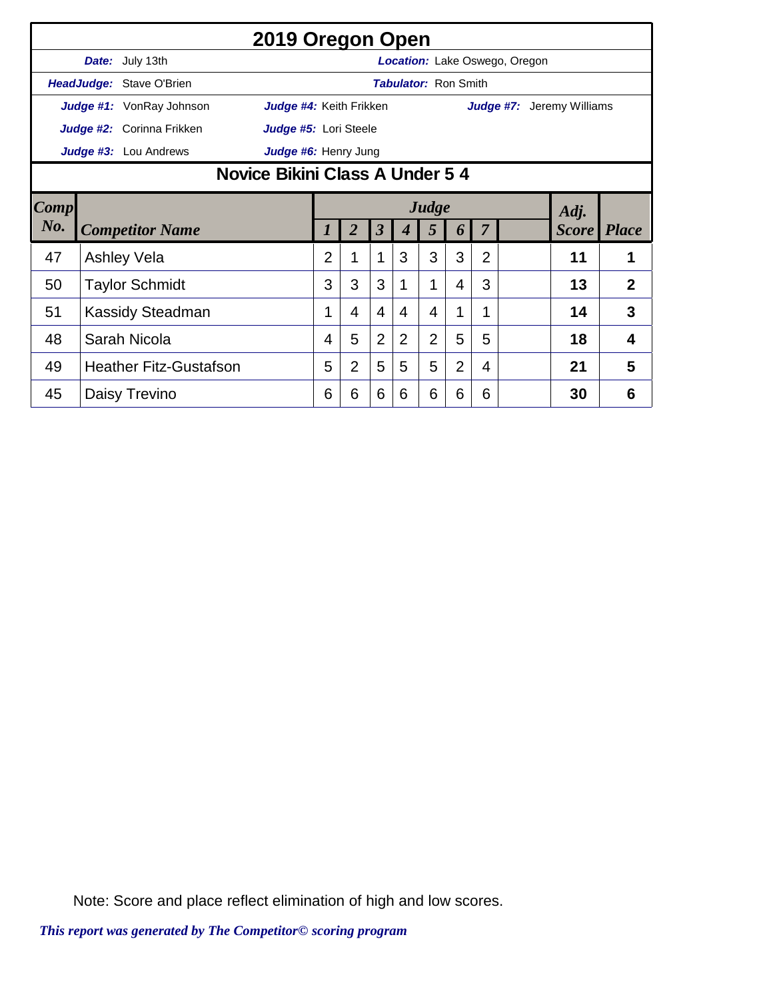|                                     | 2019 Oregon Open |                           |                             |                                      |                |                      |                |                |                |                |  |                                  |                |  |  |
|-------------------------------------|------------------|---------------------------|-----------------------------|--------------------------------------|----------------|----------------------|----------------|----------------|----------------|----------------|--|----------------------------------|----------------|--|--|
|                                     |                  | Date: July 13th           |                             | <b>Location:</b> Lake Oswego, Oregon |                |                      |                |                |                |                |  |                                  |                |  |  |
|                                     |                  | HeadJudge: Stave O'Brien  | <b>Tabulator: Ron Smith</b> |                                      |                |                      |                |                |                |                |  |                                  |                |  |  |
|                                     |                  | Judge #1: VonRay Johnson  | Judge #4: Keith Frikken     |                                      |                |                      |                |                |                |                |  | <b>Judge #7:</b> Jeremy Williams |                |  |  |
|                                     |                  | Judge #2: Corinna Frikken | Judge #5: Lori Steele       |                                      |                |                      |                |                |                |                |  |                                  |                |  |  |
|                                     |                  | Judge #3: Lou Andrews     | Judge #6: Henry Jung        |                                      |                |                      |                |                |                |                |  |                                  |                |  |  |
| Novice Bikini Class A Under 5 4     |                  |                           |                             |                                      |                |                      |                |                |                |                |  |                                  |                |  |  |
| Comp                                |                  |                           |                             |                                      |                | Adj.                 |                |                |                |                |  |                                  |                |  |  |
| $N0$ .                              |                  | <b>Competitor Name</b>    |                             |                                      | $\overline{2}$ | $\boldsymbol{\beta}$ |                | 5              | 6              | 7              |  | <b>Score</b> Place               |                |  |  |
| 47                                  |                  | <b>Ashley Vela</b>        |                             | $\overline{2}$                       | $\mathbf{1}$   | 1                    | 3              | 3              | 3              | $\overline{2}$ |  | 11                               | 1              |  |  |
| 50                                  |                  | <b>Taylor Schmidt</b>     |                             | 3                                    | 3              | 3                    |                | 1              | 4              | 3              |  | 13                               | $\overline{2}$ |  |  |
| 51                                  |                  | <b>Kassidy Steadman</b>   |                             | $\mathbf 1$                          | 4              | $\overline{4}$       | 4              | 4              | 1              | $\mathbf 1$    |  | 14                               | 3              |  |  |
| 48<br>Sarah Nicola                  |                  |                           |                             | 4                                    | 5              | $\overline{2}$       | $\overline{2}$ | $\overline{2}$ | 5              | 5              |  | 18                               | 4              |  |  |
| <b>Heather Fitz-Gustafson</b><br>49 |                  |                           |                             | 5                                    | $\overline{2}$ | 5                    | 5              | 5              | $\overline{2}$ | 4              |  | 21                               | 5              |  |  |
| 45                                  |                  | Daisy Trevino             |                             | 6                                    | 6              | 6                    | 6              | 6              | 6              | 6              |  | 30                               | 6              |  |  |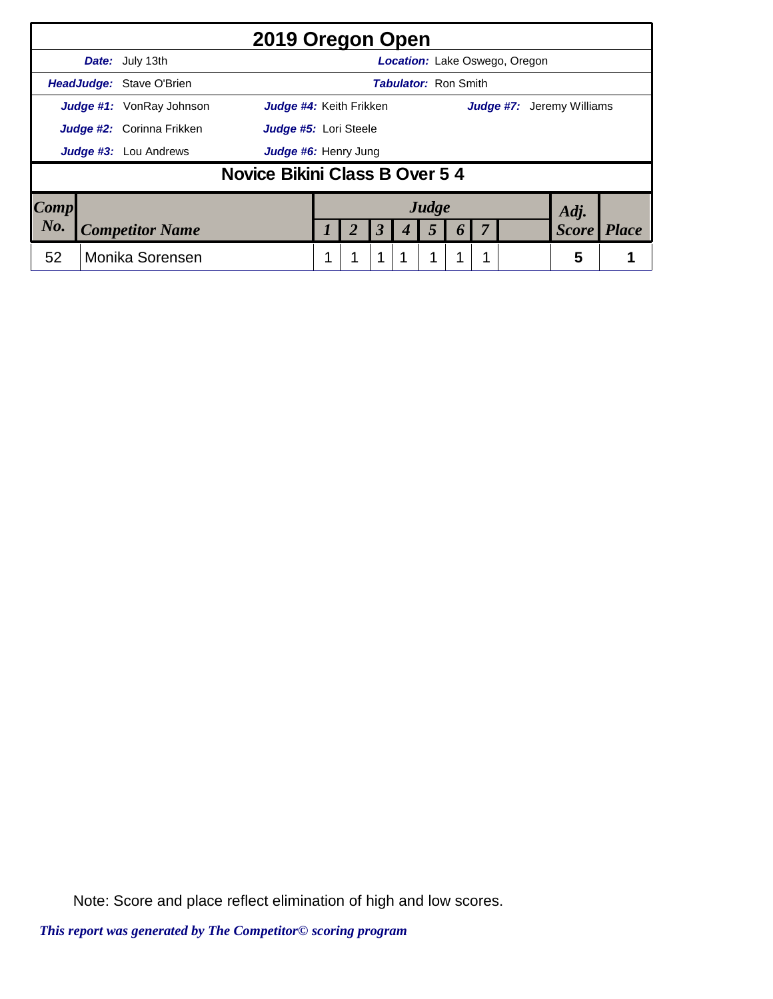|                                                            | 2019 Oregon Open                                        |                                  |                               |  |  |                      |  |       |  |  |  |              |                                  |  |  |
|------------------------------------------------------------|---------------------------------------------------------|----------------------------------|-------------------------------|--|--|----------------------|--|-------|--|--|--|--------------|----------------------------------|--|--|
|                                                            | Date: July 13th<br><b>Location:</b> Lake Oswego, Oregon |                                  |                               |  |  |                      |  |       |  |  |  |              |                                  |  |  |
| <b>Tabulator: Ron Smith</b><br>HeadJudge: Stave O'Brien    |                                                         |                                  |                               |  |  |                      |  |       |  |  |  |              |                                  |  |  |
| <b>Judge #1:</b> VonRay Johnson<br>Judge #4: Keith Frikken |                                                         |                                  |                               |  |  |                      |  |       |  |  |  |              | <b>Judge #7:</b> Jeremy Williams |  |  |
|                                                            |                                                         | <b>Judge #2:</b> Corinna Frikken | Judge #5: Lori Steele         |  |  |                      |  |       |  |  |  |              |                                  |  |  |
|                                                            |                                                         | <b>Judge #3:</b> Lou Andrews     | Judge #6: Henry Jung          |  |  |                      |  |       |  |  |  |              |                                  |  |  |
|                                                            |                                                         |                                  | Novice Bikini Class B Over 54 |  |  |                      |  |       |  |  |  |              |                                  |  |  |
| Comp                                                       |                                                         |                                  |                               |  |  |                      |  | Judge |  |  |  | Adj.         |                                  |  |  |
| No.                                                        |                                                         | <b>Competitor Name</b>           |                               |  |  | $\boldsymbol{\beta}$ |  | 5     |  |  |  | <b>Score</b> | <b>Place</b>                     |  |  |
| 52                                                         |                                                         | <b>Monika Sorensen</b>           |                               |  |  | 1                    |  | 1     |  |  |  | 5            |                                  |  |  |